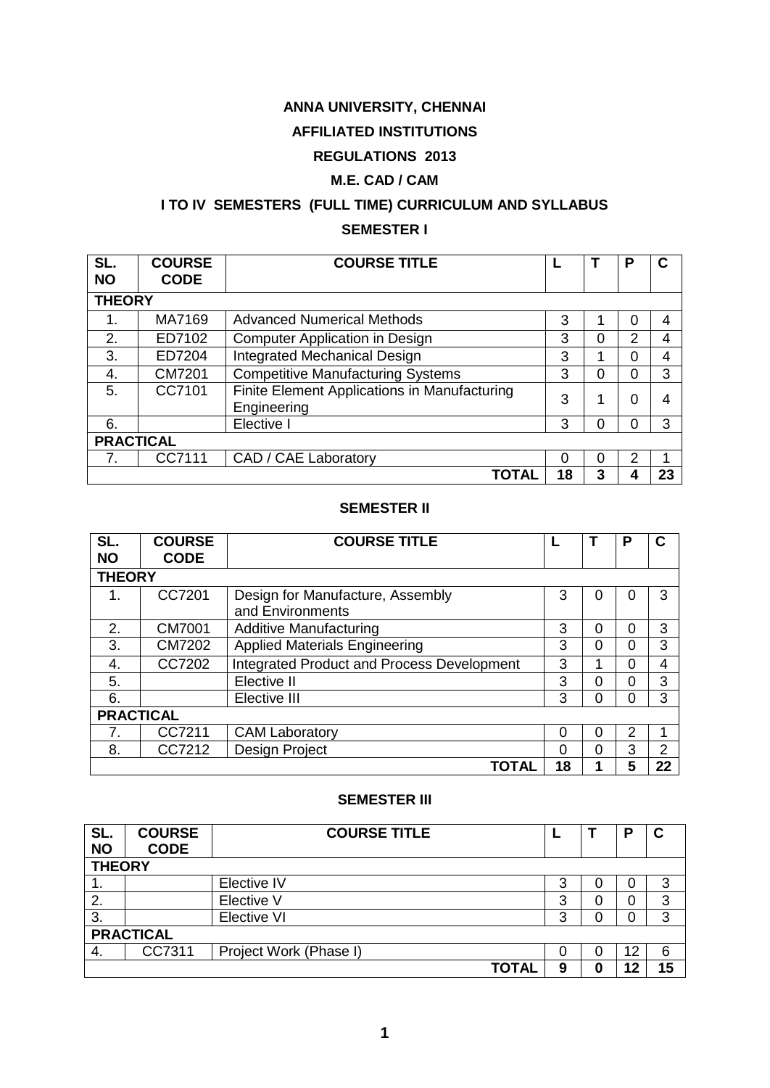# **ANNA UNIVERSITY, CHENNAI**

# **AFFILIATED INSTITUTIONS**

# **REGULATIONS 2013**

# **M.E. CAD / CAM**

# **I TO IV SEMESTERS (FULL TIME) CURRICULUM AND SYLLABUS SEMESTER I**

| SL.<br><b>NO</b> | <b>COURSE</b><br><b>CODE</b> | <b>COURSE TITLE</b>                                         |    |          | P | C              |  |  |  |
|------------------|------------------------------|-------------------------------------------------------------|----|----------|---|----------------|--|--|--|
| <b>THEORY</b>    |                              |                                                             |    |          |   |                |  |  |  |
| 1.               | MA7169                       | <b>Advanced Numerical Methods</b>                           | 3  |          | 0 | 4              |  |  |  |
| 2.               | ED7102                       | <b>Computer Application in Design</b>                       | 3  | 0        | 2 | 4              |  |  |  |
| 3.               | ED7204                       | <b>Integrated Mechanical Design</b>                         | 3  |          | 0 | 4              |  |  |  |
| 4.               | CM7201                       | <b>Competitive Manufacturing Systems</b>                    | 3  | 0        | 0 | 3              |  |  |  |
| 5.               | CC7101                       | Finite Element Applications in Manufacturing<br>Engineering | 3  |          | 0 | $\overline{A}$ |  |  |  |
| 6.               |                              | Elective I                                                  | 3  | $\Omega$ | 0 | 3              |  |  |  |
| <b>PRACTICAL</b> |                              |                                                             |    |          |   |                |  |  |  |
|                  | CC7111                       | CAD / CAE Laboratory                                        | 0  | 0        | 2 |                |  |  |  |
|                  |                              | ΤΟΤΑΙ                                                       | 18 | 3        |   | 23             |  |  |  |

# **SEMESTER II**

| SL.              | <b>COURSE</b> | <b>COURSE TITLE</b>                        |          |          | Р | C              |  |  |
|------------------|---------------|--------------------------------------------|----------|----------|---|----------------|--|--|
| <b>NO</b>        | <b>CODE</b>   |                                            |          |          |   |                |  |  |
| <b>THEORY</b>    |               |                                            |          |          |   |                |  |  |
| 1.               | CC7201        | Design for Manufacture, Assembly           | 3        | O        | 0 | 3              |  |  |
|                  |               | and Environments                           |          |          |   |                |  |  |
| 2.               | <b>CM7001</b> | <b>Additive Manufacturing</b>              | 3        | 0        | 0 | 3              |  |  |
| 3.               | CM7202        | <b>Applied Materials Engineering</b>       | 3        | 0        | 0 | 3              |  |  |
| 4.               | CC7202        | Integrated Product and Process Development | 3        |          | 0 | 4              |  |  |
| 5.               |               | Elective II                                | 3        | 0        | 0 | 3              |  |  |
| 6.               |               | Elective III                               | 3        | $\Omega$ | 0 | 3              |  |  |
| <b>PRACTICAL</b> |               |                                            |          |          |   |                |  |  |
| 7.               | CC7211        | <b>CAM Laboratory</b>                      | $\Omega$ | 0        | 2 | 1              |  |  |
| 8.               | CC7212        | Design Project                             | $\Omega$ | 0        | 3 | $\overline{2}$ |  |  |
|                  |               | TOTAL                                      | 18       |          | 5 | 22             |  |  |

### **SEMESTER III**

| SL.<br><b>NO</b> | <b>COURSE</b><br><b>CODE</b> | <b>COURSE TITLE</b>    |  |   |   | п  |    |
|------------------|------------------------------|------------------------|--|---|---|----|----|
| <b>THEORY</b>    |                              |                        |  |   |   |    |    |
| . .              |                              | Elective IV            |  | 3 | 0 | 0  | 3  |
| 2.               |                              | Elective V             |  | 3 | 0 | 0  | 3  |
| 3.               |                              | <b>Elective VI</b>     |  | 3 | 0 | 0  | 3  |
| <b>PRACTICAL</b> |                              |                        |  |   |   |    |    |
| 4.               | CC7311                       | Project Work (Phase I) |  | 0 | 0 | 12 | 6  |
|                  |                              | <b>TOTAL</b>           |  | 9 | 0 | 12 | 15 |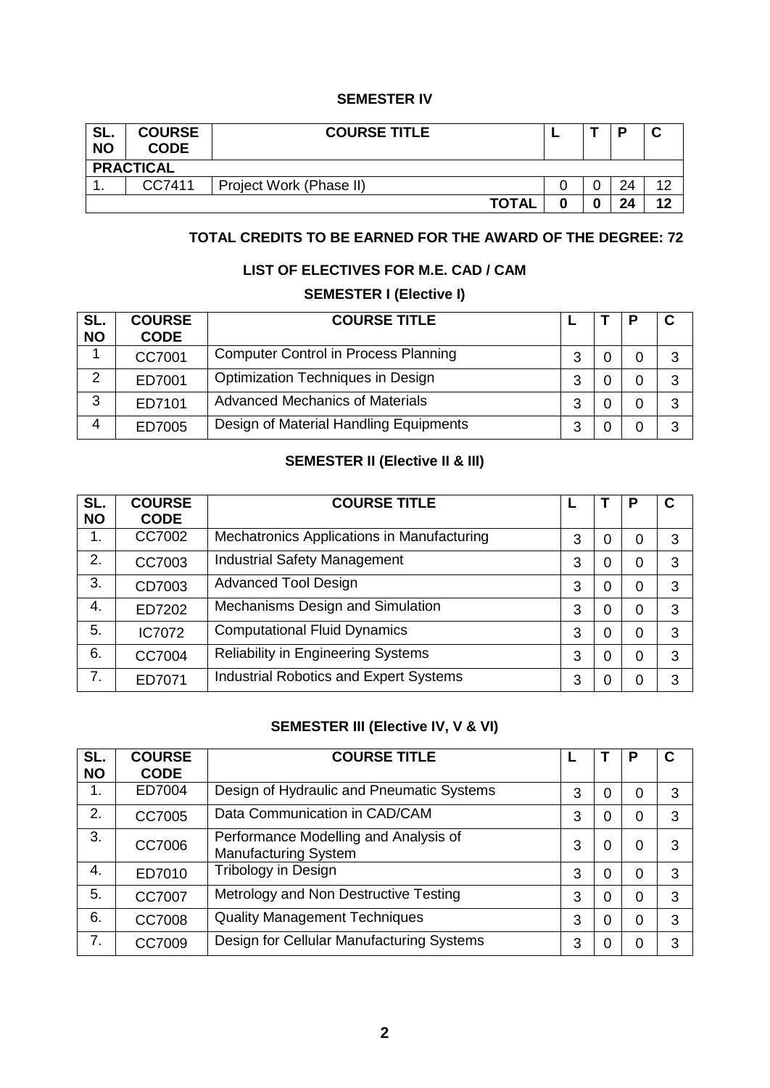### **SEMESTER IV**

| SL.<br><b>NO</b> | <b>COURSE</b><br><b>CODE</b> | <b>COURSE TITLE</b>     |  |  | D  |     |  |  |
|------------------|------------------------------|-------------------------|--|--|----|-----|--|--|
|                  | <b>PRACTICAL</b>             |                         |  |  |    |     |  |  |
| . .              | CC7411                       | Project Work (Phase II) |  |  | 24 | 1 ຕ |  |  |
|                  |                              | <b>TOTAL</b>            |  |  | 24 | 12  |  |  |

# **TOTAL CREDITS TO BE EARNED FOR THE AWARD OF THE DEGREE: 72**

### **LIST OF ELECTIVES FOR M.E. CAD / CAM**

# **SEMESTER I (Elective I)**

| SL.<br><b>NO</b> | <b>COURSE</b><br><b>CODE</b> | <b>COURSE TITLE</b>                         |        |  |   |
|------------------|------------------------------|---------------------------------------------|--------|--|---|
|                  | CC7001                       | <b>Computer Control in Process Planning</b> | 3      |  | 3 |
| 2                | ED7001                       | <b>Optimization Techniques in Design</b>    | 3      |  | 3 |
| 3                | ED7101                       | <b>Advanced Mechanics of Materials</b>      | ≏<br>د |  | 3 |
| 4                | ED7005                       | Design of Material Handling Equipments      | ≏      |  | ? |

# **SEMESTER II (Elective II & III)**

| SL.<br><b>NO</b> | <b>COURSE</b><br><b>CODE</b> | <b>COURSE TITLE</b>                           |   |   | Ρ | С |
|------------------|------------------------------|-----------------------------------------------|---|---|---|---|
| 1.               | CC7002                       | Mechatronics Applications in Manufacturing    | 3 | 0 | 0 | 3 |
| 2.               | CC7003                       | <b>Industrial Safety Management</b>           | 3 | 0 | 0 | 3 |
| 3.               | CD7003                       | <b>Advanced Tool Design</b>                   | 3 | 0 | 0 | 3 |
| 4.               | ED7202                       | Mechanisms Design and Simulation              | 3 | 0 | 0 | 3 |
| 5.               | IC7072                       | <b>Computational Fluid Dynamics</b>           | 3 | 0 | 0 | 3 |
| 6.               | CC7004                       | <b>Reliability in Engineering Systems</b>     | 3 | 0 | 0 | 3 |
| 7.               | ED7071                       | <b>Industrial Robotics and Expert Systems</b> | 3 | 0 | 0 | 3 |

# **SEMESTER III (Elective IV, V & VI)**

<span id="page-1-0"></span>

| SL.       | <b>COURSE</b> | <b>COURSE TITLE</b>                                                  |   |          | P        | С |
|-----------|---------------|----------------------------------------------------------------------|---|----------|----------|---|
| <b>NO</b> | <b>CODE</b>   |                                                                      |   |          |          |   |
| 1.        | ED7004        | Design of Hydraulic and Pneumatic Systems                            | 3 | 0        | 0        | 3 |
| 2.        | CC7005        | Data Communication in CAD/CAM                                        | 3 | 0        | 0        | 3 |
| 3.        | CC7006        | Performance Modelling and Analysis of<br><b>Manufacturing System</b> | 3 | 0        | 0        | 3 |
| 4.        | ED7010        | Tribology in Design                                                  | 3 | 0        | $\Omega$ | 3 |
| 5.        | CC7007        | Metrology and Non Destructive Testing                                | 3 | 0        | $\Omega$ | 3 |
| 6.        | <b>CC7008</b> | <b>Quality Management Techniques</b>                                 | 3 | $\Omega$ | $\Omega$ | 3 |
| 7.        | CC7009        | Design for Cellular Manufacturing Systems                            | 3 | 0        | 0        | 3 |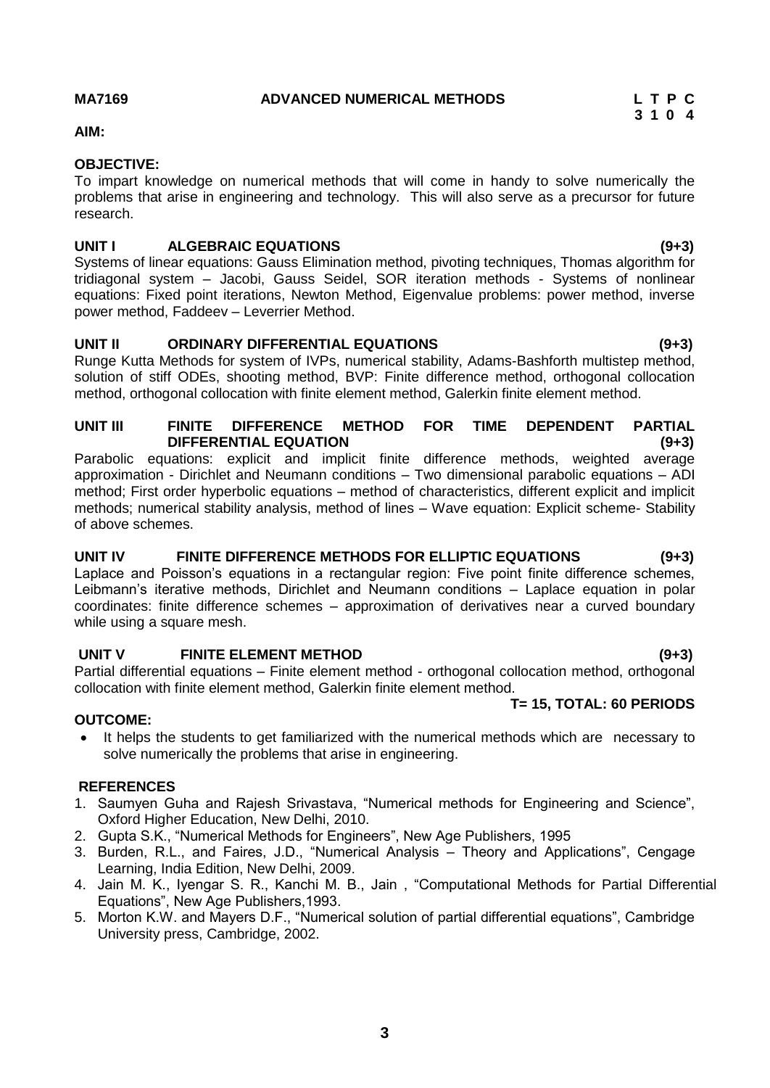**3**

# **AIM:**

### **OBJECTIVE:**

To impart knowledge on numerical methods that will come in handy to solve numerically the problems that arise in engineering and technology. This will also serve as a precursor for future research.

### **UNIT I ALGEBRAIC EQUATIONS (9+3)**

Systems of linear equations: Gauss Elimination method, pivoting techniques, Thomas algorithm for tridiagonal system – Jacobi, Gauss Seidel, SOR iteration methods - Systems of nonlinear equations: Fixed point iterations, Newton Method, Eigenvalue problems: power method, inverse power method, Faddeev – Leverrier Method.

### **UNIT II ORDINARY DIFFERENTIAL EQUATIONS (9+3)**

Runge Kutta Methods for system of IVPs, numerical stability, Adams-Bashforth multistep method, solution of stiff ODEs, shooting method, BVP: Finite difference method, orthogonal collocation method, orthogonal collocation with finite element method, Galerkin finite element method.

### **UNIT III FINITE DIFFERENCE METHOD FOR TIME DEPENDENT PARTIAL DIFFERENTIAL EQUATION (9+3)**

Parabolic equations: explicit and implicit finite difference methods, weighted average approximation - Dirichlet and Neumann conditions – Two dimensional parabolic equations – ADI method; First order hyperbolic equations – method of characteristics, different explicit and implicit methods; numerical stability analysis, method of lines – Wave equation: Explicit scheme- Stability of above schemes.

### **UNIT IV FINITE DIFFERENCE METHODS FOR ELLIPTIC EQUATIONS (9+3)**

Laplace and Poisson's equations in a rectangular region: Five point finite difference schemes, Leibmann's iterative methods, Dirichlet and Neumann conditions – Laplace equation in polar coordinates: finite difference schemes – approximation of derivatives near a curved boundary while using a square mesh.

# **UNIT V FINITE ELEMENT METHOD (9+3)**

Partial differential equations – Finite element method - orthogonal collocation method, orthogonal collocation with finite element method, Galerkin finite element method.

# **T= 15, TOTAL: 60 PERIODS**

### **OUTCOME:**

• It helps the students to get familiarized with the numerical methods which are necessary to solve numerically the problems that arise in engineering.

### **REFERENCES**

- 1. Saumyen Guha and Rajesh Srivastava, "Numerical methods for Engineering and Science", Oxford Higher Education, New Delhi, 2010.
- 2. Gupta S.K., "Numerical Methods for Engineers", New Age Publishers, 1995
- 3. Burden, R.L., and Faires, J.D., "Numerical Analysis Theory and Applications", Cengage Learning, India Edition, New Delhi, 2009.
- 4. Jain M. K., Iyengar S. R., Kanchi M. B., Jain , "Computational Methods for Partial Differential Equations", New Age Publishers,1993.
- 5. Morton K.W. and Mayers D.F., "Numerical solution of partial differential equations", Cambridge University press, Cambridge, 2002.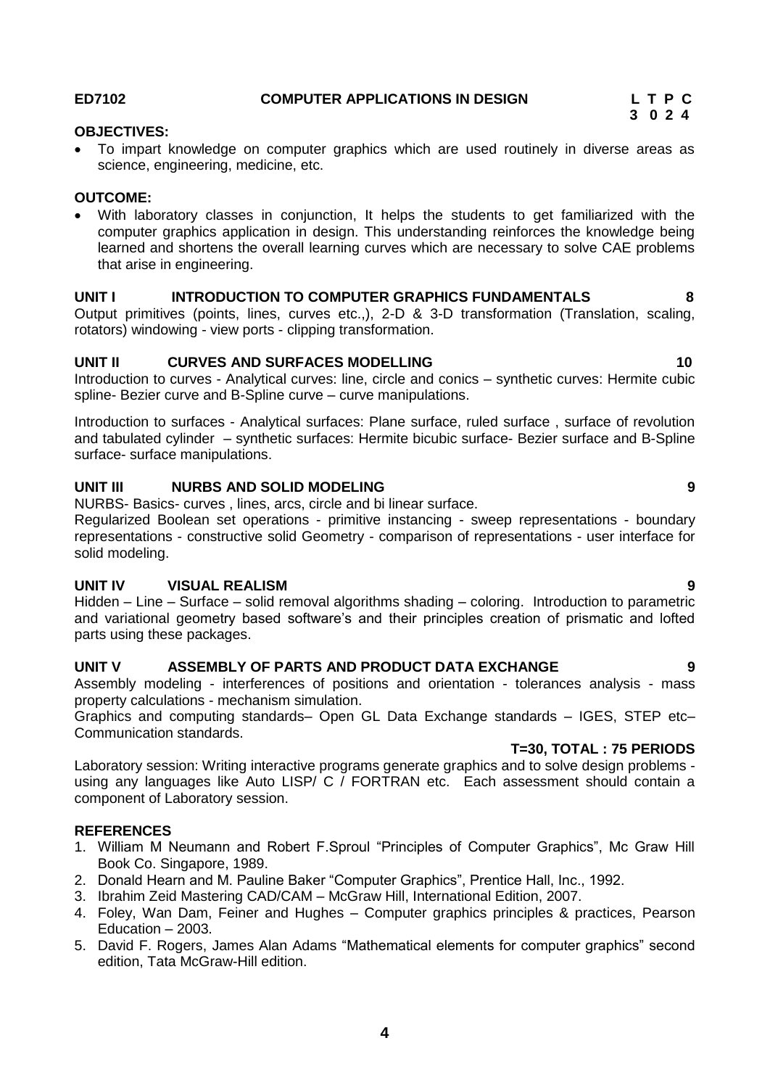# <span id="page-3-0"></span>**ED7102 COMPUTER APPLICATIONS IN DESIGN L T P C**

# **3 0 2 4**

### **OBJECTIVES:**

 To impart knowledge on computer graphics which are used routinely in diverse areas as science, engineering, medicine, etc.

### **OUTCOME:**

 With laboratory classes in conjunction, It helps the students to get familiarized with the computer graphics application in design. This understanding reinforces the knowledge being learned and shortens the overall learning curves which are necessary to solve CAE problems that arise in engineering.

### **UNIT I INTRODUCTION TO COMPUTER GRAPHICS FUNDAMENTALS 8**

Output primitives (points, lines, curves etc.,), 2-D & 3-D transformation (Translation, scaling, rotators) windowing - view ports - clipping transformation.

### **UNIT II CURVES AND SURFACES MODELLING 10**

Introduction to curves - Analytical curves: line, circle and conics – synthetic curves: Hermite cubic spline- Bezier curve and B-Spline curve – curve manipulations.

Introduction to surfaces - Analytical surfaces: Plane surface, ruled surface , surface of revolution and tabulated cylinder – synthetic surfaces: Hermite bicubic surface- Bezier surface and B-Spline surface- surface manipulations.

### **UNIT III NURBS AND SOLID MODELING 9**

NURBS- Basics- curves , lines, arcs, circle and bi linear surface.

Regularized Boolean set operations - primitive instancing - sweep representations - boundary representations - constructive solid Geometry - comparison of representations - user interface for solid modeling.

### **UNIT IV VISUAL REALISM 9**

Hidden – Line – Surface – solid removal algorithms shading – coloring. Introduction to parametric and variational geometry based software's and their principles creation of prismatic and lofted parts using these packages.

# **UNIT V ASSEMBLY OF PARTS AND PRODUCT DATA EXCHANGE 9**

Assembly modeling - interferences of positions and orientation - tolerances analysis - mass property calculations - mechanism simulation.

Graphics and computing standards– Open GL Data Exchange standards – IGES, STEP etc– Communication standards.

### **T=30, TOTAL : 75 PERIODS**

Laboratory session: Writing interactive programs generate graphics and to solve design problems using any languages like Auto LISP/ C / FORTRAN etc. Each assessment should contain a component of Laboratory session.

### **REFERENCES**

- 1. William M Neumann and Robert F.Sproul "Principles of Computer Graphics", Mc Graw Hill Book Co. Singapore, 1989.
- 2. Donald Hearn and M. Pauline Baker "Computer Graphics", Prentice Hall, Inc., 1992.
- 3. Ibrahim Zeid Mastering CAD/CAM McGraw Hill, International Edition, 2007.
- 4. Foley, Wan Dam, Feiner and Hughes Computer graphics principles & practices, Pearson Education – 2003.
- 5. [David F. Rogers,](https://www.google.co.in/search?hl=en&safe=active&tbo=d&tbm=bks&tbm=bks&q=inauthor:%22David+F.+Rogers%22&sa=X&ei=HK7rUNPFJMSOrge82oC4DQ&ved=0CDcQ9AgwAA) [James Alan Adams](https://www.google.co.in/search?hl=en&safe=active&tbo=d&tbm=bks&tbm=bks&q=inauthor:%22James+Alan+Adams%22&sa=X&ei=HK7rUNPFJMSOrge82oC4DQ&ved=0CDgQ9AgwAA) "Mathematical elements for computer graphics" second edition, Tata McGraw-Hill edition.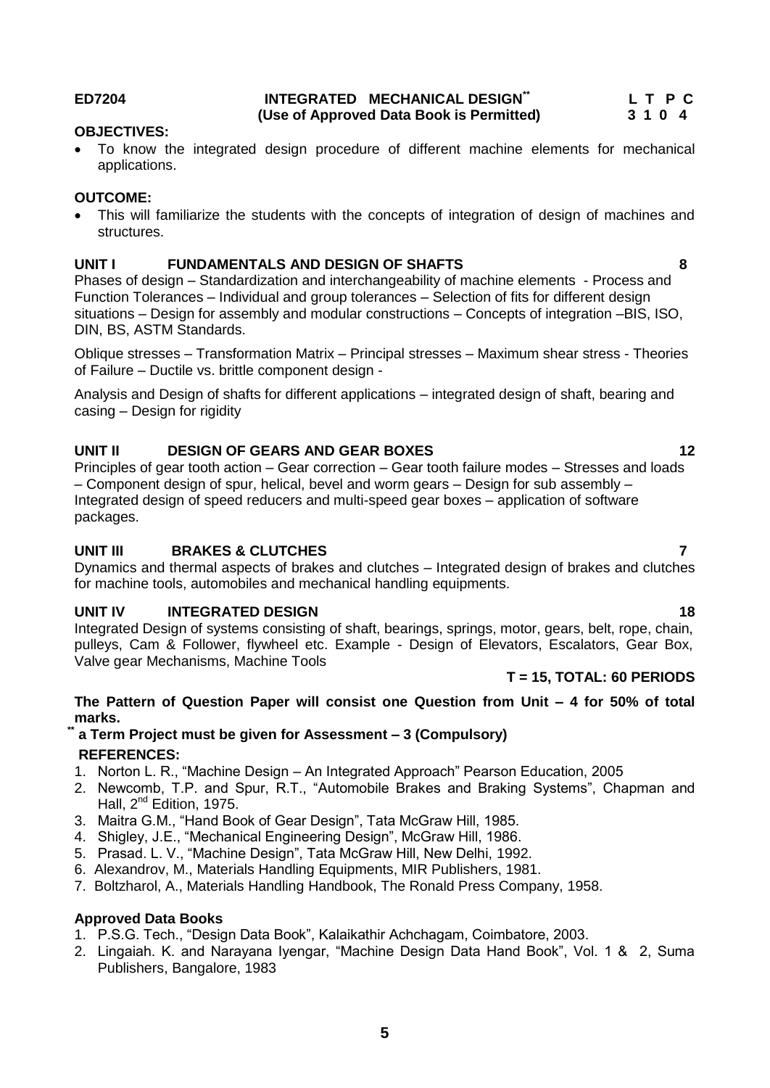### **ED7204 INTEGRATED MECHANICAL DESIGN\*\* (Use of Approved Data Book is Permitted)**

 **L T P C**

### **OBJECTIVES:**

 To know the integrated design procedure of different machine elements for mechanical applications.

# **OUTCOME:**

 This will familiarize the students with the concepts of integration of design of machines and structures.

# **UNIT I FUNDAMENTALS AND DESIGN OF SHAFTS 8**

Phases of design – Standardization and interchangeability of machine elements - Process and Function Tolerances – Individual and group tolerances – Selection of fits for different design situations – Design for assembly and modular constructions – Concepts of integration –BIS, ISO, DIN, BS, ASTM Standards.

Oblique stresses – Transformation Matrix – Principal stresses – Maximum shear stress - Theories of Failure – Ductile vs. brittle component design -

Analysis and Design of shafts for different applications – integrated design of shaft, bearing and casing – Design for rigidity

# **UNIT II** DESIGN OF GEARS AND GEAR BOXES 12

Principles of gear tooth action – Gear correction – Gear tooth failure modes – Stresses and loads – Component design of spur, helical, bevel and worm gears – Design for sub assembly – Integrated design of speed reducers and multi-speed gear boxes – application of software packages.

# **UNIT III BRAKES & CLUTCHES 7**

Dynamics and thermal aspects of brakes and clutches – Integrated design of brakes and clutches for machine tools, automobiles and mechanical handling equipments.

# **UNIT IV INTEGRATED DESIGN 18**

Integrated Design of systems consisting of shaft, bearings, springs, motor, gears, belt, rope, chain, pulleys, Cam & Follower, flywheel etc. Example - Design of Elevators, Escalators, Gear Box, Valve gear Mechanisms, Machine Tools

# **T = 15, TOTAL: 60 PERIODS**

### **The Pattern of Question Paper will consist one Question from Unit – 4 for 50% of total marks.**

# **\*\* a Term Project must be given for Assessment – 3 (Compulsory) REFERENCES:**

- 1. Norton L. R., "Machine Design An Integrated Approach" Pearson Education, 2005
- 2. Newcomb, T.P. and Spur, R.T., "Automobile Brakes and Braking Systems", Chapman and Hall, 2<sup>nd</sup> Edition, 1975.
- 3. Maitra G.M., "Hand Book of Gear Design", Tata McGraw Hill, 1985.
- 4. Shigley, J.E., "Mechanical Engineering Design", McGraw Hill, 1986.
- 5. Prasad. L. V., "Machine Design", Tata McGraw Hill, New Delhi, 1992.
- 6. Alexandrov, M., Materials Handling Equipments, MIR Publishers, 1981.
- 7. Boltzharol, A., Materials Handling Handbook, The Ronald Press Company, 1958.

# <span id="page-4-0"></span>**Approved Data Books**

- 1. P.S.G. Tech., "Design Data Book", Kalaikathir Achchagam, Coimbatore, 2003.
- 2. Lingaiah. K. and Narayana Iyengar, "Machine Design Data Hand Book", Vol. 1 & 2, Suma Publishers, Bangalore, 1983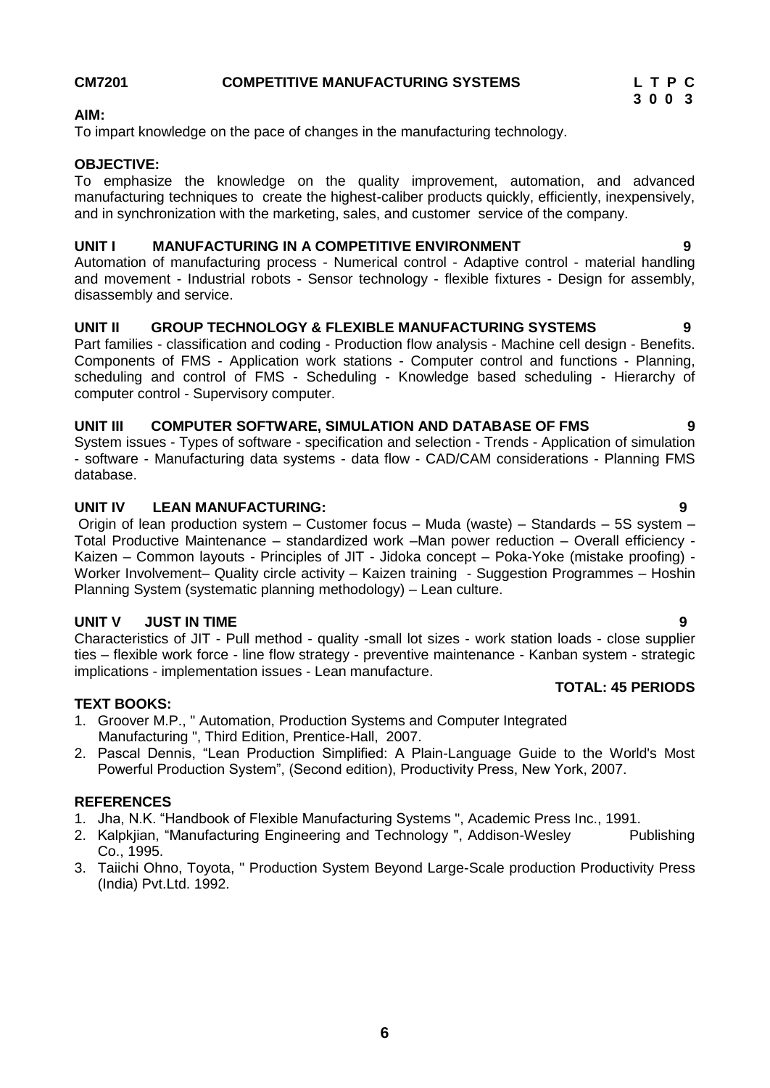# **6**

### **TEXT BOOKS:**

- 1. Groover M.P., " Automation, Production Systems and Computer Integrated Manufacturing ", Third Edition, Prentice-Hall, 2007.
- 2. Pascal Dennis, "Lean Production Simplified: A Plain-Language Guide to the World's Most Powerful Production System", (Second edition), Productivity Press, New York, 2007.

### **REFERENCES**

- 1. Jha, N.K. "Handbook of Flexible Manufacturing Systems ", Academic Press Inc., 1991.
- 2. Kalpkjian, "Manufacturing Engineering and Technology", Addison-Wesley Publishing Co., 1995.
- <span id="page-5-0"></span>3. Taiichi Ohno, Toyota, " Production System Beyond Large-Scale production Productivity Press (India) Pvt.Ltd. 1992.

### **CM7201 COMPETITIVE MANUFACTURING SYSTEMS L T P C**

### **AIM:**

To impart knowledge on the pace of changes in the manufacturing technology.

### **OBJECTIVE:**

To emphasize the knowledge on the quality improvement, automation, and advanced manufacturing techniques to create the highest-caliber products quickly, efficiently, inexpensively, and in synchronization with the marketing, sales, and customer service of the company.

### **UNIT I MANUFACTURING IN A COMPETITIVE ENVIRONMENT 9**

Automation of manufacturing process - Numerical control - Adaptive control - material handling and movement - Industrial robots - Sensor technology - flexible fixtures - Design for assembly, disassembly and service.

### **UNIT II GROUP TECHNOLOGY & FLEXIBLE MANUFACTURING SYSTEMS 9**

Part families - classification and coding - Production flow analysis - Machine cell design - Benefits. Components of FMS - Application work stations - Computer control and functions - Planning, scheduling and control of FMS - Scheduling - Knowledge based scheduling - Hierarchy of computer control - Supervisory computer.

### **UNIT III COMPUTER SOFTWARE, SIMULATION AND DATABASE OF FMS 9**

System issues - Types of software - specification and selection - Trends - Application of simulation - software - Manufacturing data systems - data flow - CAD/CAM considerations - Planning FMS database.

# **UNIT IV LEAN MANUFACTURING: 9**

Origin of lean production system – Customer focus – Muda (waste) – Standards – 5S system – Total Productive Maintenance – standardized work –Man power reduction – Overall efficiency - Kaizen – Common layouts - Principles of JIT - Jidoka concept – Poka-Yoke (mistake proofing) - Worker Involvement– Quality circle activity – Kaizen training - Suggestion Programmes – Hoshin Planning System (systematic planning methodology) – Lean culture.

### **UNIT V JUST IN TIME 9**

Characteristics of JIT - Pull method - quality -small lot sizes - work station loads - close supplier ties – flexible work force - line flow strategy - preventive maintenance - Kanban system - strategic implications - implementation issues - Lean manufacture. **TOTAL: 45 PERIODS**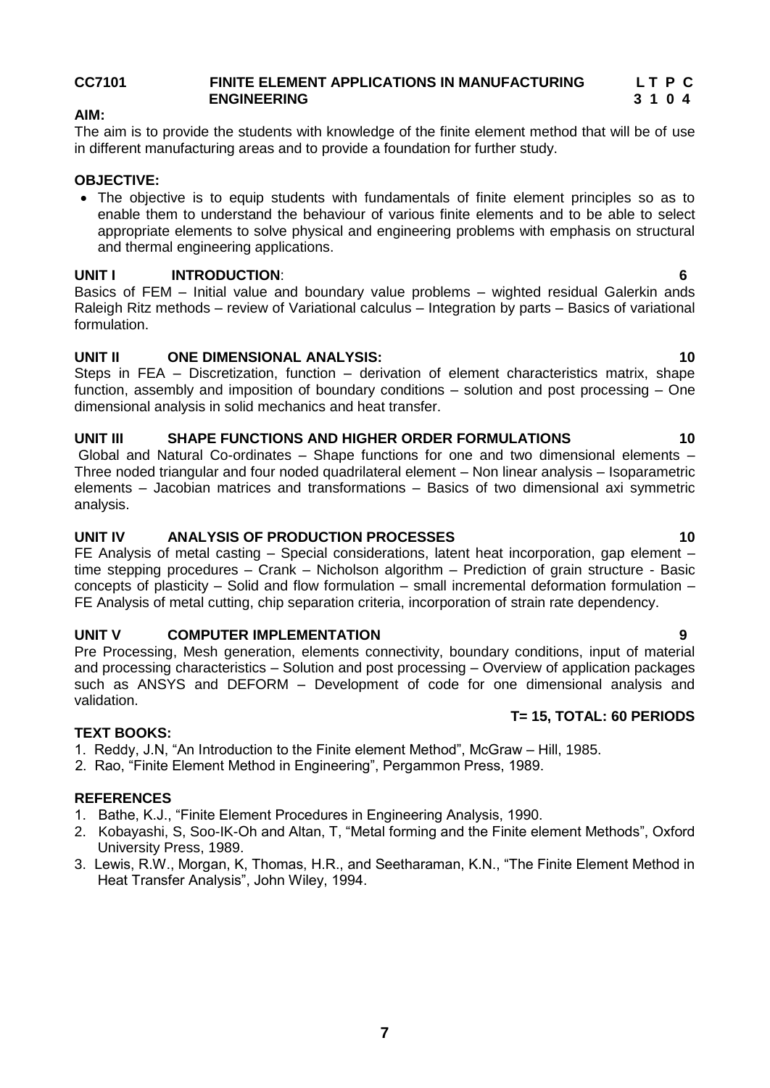### **CC7101 FINITE ELEMENT APPLICATIONS IN MANUFACTURING L T P C ENGINEERING 3 1 0 4**

# **AIM:**

The aim is to provide the students with knowledge of the finite element method that will be of use in different manufacturing areas and to provide a foundation for further study.

### **OBJECTIVE:**

 The objective is to equip students with fundamentals of finite element principles so as to enable them to understand the behaviour of various finite elements and to be able to select appropriate elements to solve physical and engineering problems with emphasis on structural and thermal engineering applications.

# **UNIT I INTRODUCTION**: **6**

Basics of FEM – Initial value and boundary value problems – wighted residual Galerkin ands Raleigh Ritz methods – review of Variational calculus – Integration by parts – Basics of variational formulation.

# **UNIT II ONE DIMENSIONAL ANALYSIS: 10**

Steps in FEA – Discretization, function – derivation of element characteristics matrix, shape function, assembly and imposition of boundary conditions – solution and post processing – One dimensional analysis in solid mechanics and heat transfer.

### **UNIT III SHAPE FUNCTIONS AND HIGHER ORDER FORMULATIONS 10**

Global and Natural Co-ordinates – Shape functions for one and two dimensional elements – Three noded triangular and four noded quadrilateral element – Non linear analysis – Isoparametric elements – Jacobian matrices and transformations – Basics of two dimensional axi symmetric analysis.

### **UNIT IV ANALYSIS OF PRODUCTION PROCESSES 10**

FE Analysis of metal casting – Special considerations, latent heat incorporation, gap element – time stepping procedures – Crank – Nicholson algorithm – Prediction of grain structure - Basic concepts of plasticity – Solid and flow formulation – small incremental deformation formulation – FE Analysis of metal cutting, chip separation criteria, incorporation of strain rate dependency.

# **UNIT V COMPUTER IMPLEMENTATION 9**

Pre Processing, Mesh generation, elements connectivity, boundary conditions, input of material and processing characteristics – Solution and post processing – Overview of application packages such as ANSYS and DEFORM – Development of code for one dimensional analysis and validation.  **T= 15, TOTAL: 60 PERIODS**

### **TEXT BOOKS:**

- 1. Reddy, J.N, "An Introduction to the Finite element Method", McGraw Hill, 1985.
- 2. Rao, "Finite Element Method in Engineering", Pergammon Press, 1989.

### **REFERENCES**

- 1. Bathe, K.J., "Finite Element Procedures in Engineering Analysis, 1990.
- 2. Kobayashi, S, Soo-IK-Oh and Altan, T, "Metal forming and the Finite element Methods", Oxford University Press, 1989.
- 3. Lewis, R.W., Morgan, K, Thomas, H.R., and Seetharaman, K.N., "The Finite Element Method in Heat Transfer Analysis", John Wiley, 1994.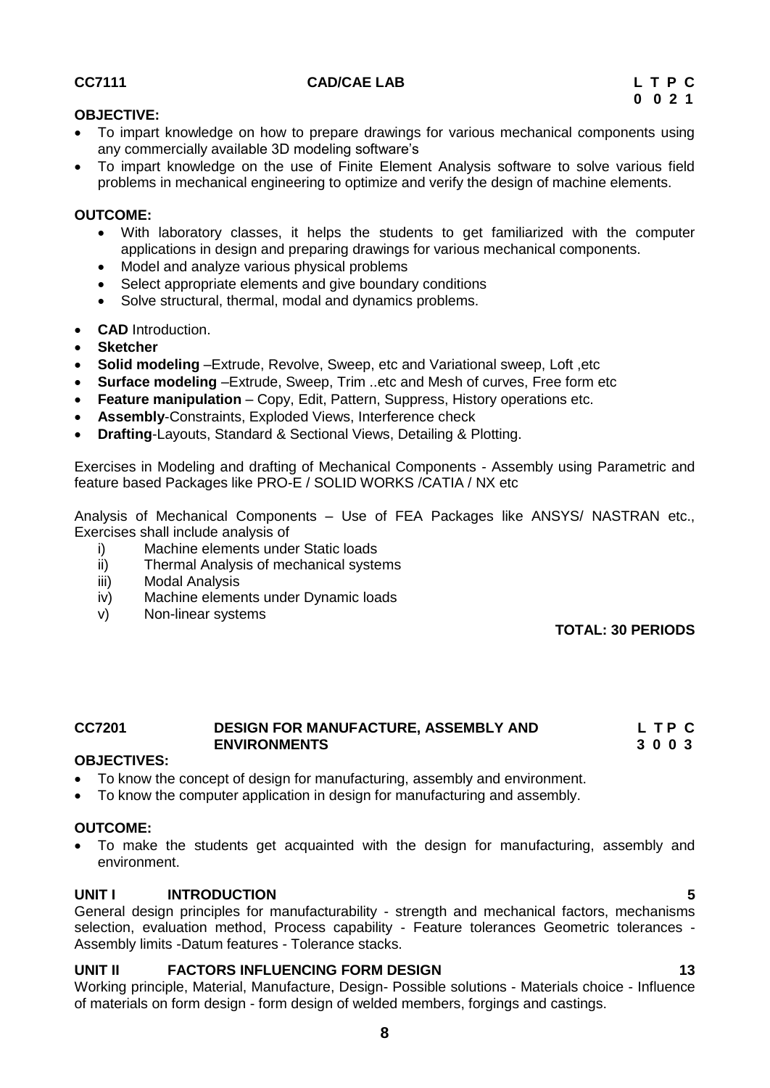### **CC7111 CAD/CAE LAB L T P C**

### **OBJECTIVE:**

- To impart knowledge on how to prepare drawings for various mechanical components using any commercially available 3D modeling software's
- To impart knowledge on the use of Finite Element Analysis software to solve various field problems in mechanical engineering to optimize and verify the design of machine elements.

### **OUTCOME:**

- With laboratory classes, it helps the students to get familiarized with the computer applications in design and preparing drawings for various mechanical components.
- Model and analyze various physical problems
- Select appropriate elements and give boundary conditions
- Solve structural, thermal, modal and dynamics problems.
- **CAD** Introduction.
- **Sketcher**
- **Solid modeling** –Extrude, Revolve, Sweep, etc and Variational sweep, Loft ,etc
- **Surface modeling** –Extrude, Sweep, Trim ..etc and Mesh of curves, Free form etc
- **Feature manipulation** Copy, Edit, Pattern, Suppress, History operations etc.
- **Assembly**-Constraints, Exploded Views, Interference check
- **Drafting**-Layouts, Standard & Sectional Views, Detailing & Plotting.

Exercises in Modeling and drafting of Mechanical Components - Assembly using Parametric and feature based Packages like PRO-E / SOLID WORKS /CATIA / NX etc

Analysis of Mechanical Components – Use of FEA Packages like ANSYS/ NASTRAN etc., Exercises shall include analysis of

- i) Machine elements under Static loads
- ii) Thermal Analysis of mechanical systems
- iii) Modal Analysis
- iv) Machine elements under Dynamic loads
- v) Non-linear systems

**TOTAL: 30 PERIODS**

### **CC7201 DESIGN FOR MANUFACTURE, ASSEMBLY AND L T P C ENVIRONMENTS 3 0 0 3**

# **OBJECTIVES:**

- To know the concept of design for manufacturing, assembly and environment.
- To know the computer application in design for manufacturing and assembly.

### **OUTCOME:**

 To make the students get acquainted with the design for manufacturing, assembly and environment.

### **UNIT I INTRODUCTION 5**

General design principles for manufacturability - strength and mechanical factors, mechanisms selection, evaluation method, Process capability - Feature tolerances Geometric tolerances -Assembly limits -Datum features - Tolerance stacks.

# **UNIT II FACTORS INFLUENCING FORM DESIGN 13**

Working principle, Material, Manufacture, Design- Possible solutions - Materials choice - Influence of materials on form design - form design of welded members, forgings and castings.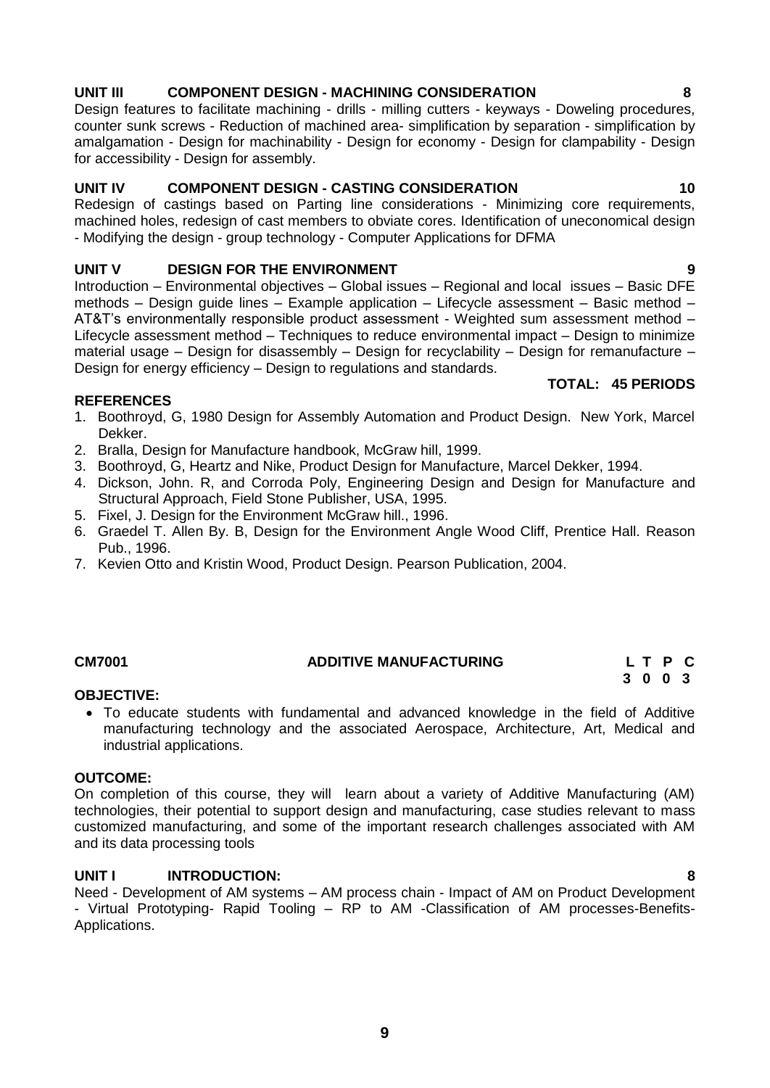# **UNIT III COMPONENT DESIGN - MACHINING CONSIDERATION 8**

Design features to facilitate machining - drills - milling cutters - keyways - Doweling procedures, counter sunk screws - Reduction of machined area- simplification by separation - simplification by amalgamation - Design for machinability - Design for economy - Design for clampability - Design for accessibility - Design for assembly.

### **UNIT IV COMPONENT DESIGN - CASTING CONSIDERATION 10**

Redesign of castings based on Parting line considerations - Minimizing core requirements, machined holes, redesign of cast members to obviate cores. Identification of uneconomical design - Modifying the design - group technology - Computer Applications for DFMA

# **UNIT V DESIGN FOR THE ENVIRONMENT 9**

Introduction – Environmental objectives – Global issues – Regional and local issues – Basic DFE methods – Design guide lines – Example application – Lifecycle assessment – Basic method – AT&T's environmentally responsible product assessment - Weighted sum assessment method – Lifecycle assessment method – Techniques to reduce environmental impact – Design to minimize material usage – Design for disassembly – Design for recyclability – Design for remanufacture – Design for energy efficiency – Design to regulations and standards.

### **REFERENCES**

- 1. Boothroyd, G, 1980 Design for Assembly Automation and Product Design. New York, Marcel Dekker.
- 2. Bralla, Design for Manufacture handbook, McGraw hill, 1999.
- 3. Boothroyd, G, Heartz and Nike, Product Design for Manufacture, Marcel Dekker, 1994.
- 4. Dickson, John. R, and Corroda Poly, Engineering Design and Design for Manufacture and Structural Approach, Field Stone Publisher, USA, 1995.
- 5. Fixel, J. Design for the Environment McGraw hill., 1996.
- 6. Graedel T. Allen By. B, Design for the Environment Angle Wood Cliff, Prentice Hall. Reason Pub., 1996.
- 7. Kevien Otto and Kristin Wood, Product Design. Pearson Publication, 2004.

### **OBJECTIVE:**

 To educate students with fundamental and advanced knowledge in the field of Additive manufacturing technology and the associated Aerospace, Architecture, Art, Medical and industrial applications.

### **OUTCOME:**

On completion of this course, they will learn about a variety of Additive Manufacturing (AM) technologies, their potential to support design and manufacturing, case studies relevant to mass customized manufacturing, and some of the important research challenges associated with AM and its data processing tools

### **UNIT I INTRODUCTION: 8**

Need - Development of AM systems – AM process chain - Impact of AM on Product Development - Virtual Prototyping- Rapid Tooling – RP to AM -Classification of AM processes-Benefits-Applications.

### **TOTAL: 45 PERIODS**

### <span id="page-8-0"></span>**CM7001 ADDITIVE MANUFACTURING L T P C 3 0 0 3**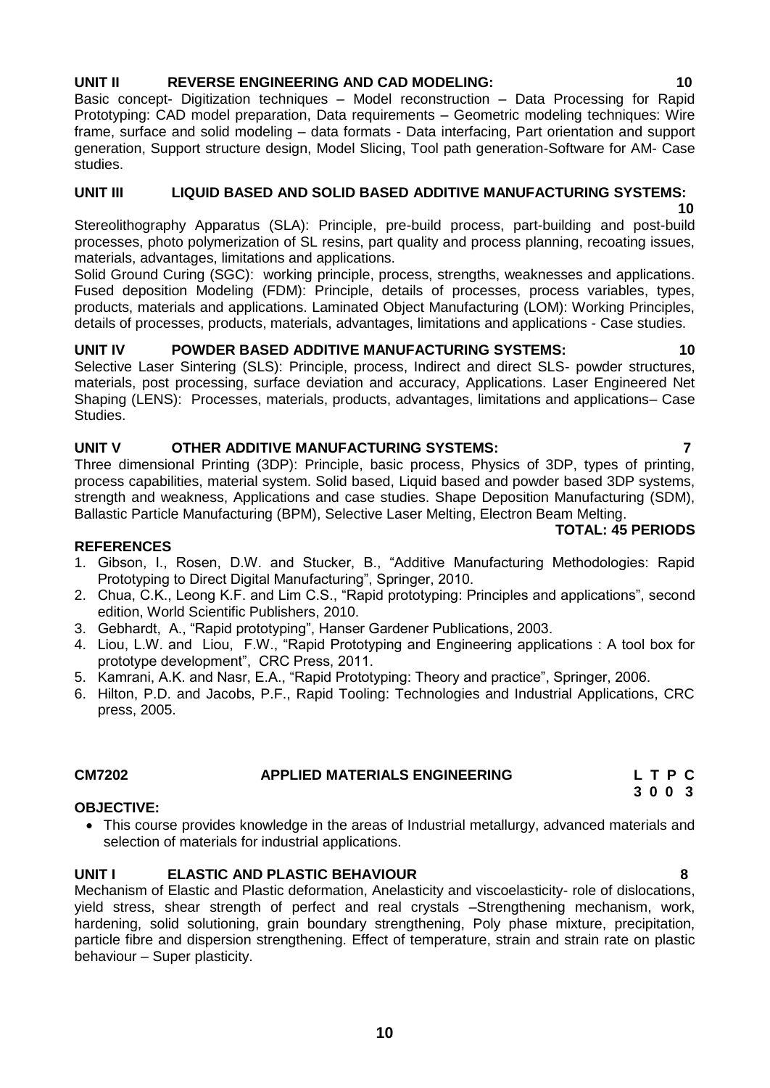# **UNIT II REVERSE ENGINEERING AND CAD MODELING: 10**

Basic concept- Digitization techniques – Model reconstruction – Data Processing for Rapid Prototyping: CAD model preparation, Data requirements – Geometric modeling techniques: Wire frame, surface and solid modeling – data formats - Data interfacing, Part orientation and support generation, Support structure design, Model Slicing, Tool path generation-Software for AM- Case studies.

### **UNIT III LIQUID BASED AND SOLID BASED ADDITIVE MANUFACTURING SYSTEMS:**

**10** Stereolithography Apparatus (SLA): Principle, pre-build process, part-building and post-build processes, photo polymerization of SL resins, part quality and process planning, recoating issues, materials, advantages, limitations and applications.

Solid Ground Curing (SGC): working principle, process, strengths, weaknesses and applications. Fused deposition Modeling (FDM): Principle, details of processes, process variables, types, products, materials and applications. Laminated Object Manufacturing (LOM): Working Principles, details of processes, products, materials, advantages, limitations and applications - Case studies.

### **UNIT IV POWDER BASED ADDITIVE MANUFACTURING SYSTEMS: 10**

Selective Laser Sintering (SLS): Principle, process, Indirect and direct SLS- powder structures, materials, post processing, surface deviation and accuracy, Applications. Laser Engineered Net Shaping (LENS): Processes, materials, products, advantages, limitations and applications– Case Studies.

### **UNIT V OTHER ADDITIVE MANUFACTURING SYSTEMS: 7**

Three dimensional Printing (3DP): Principle, basic process, Physics of 3DP, types of printing, process capabilities, material system. Solid based, Liquid based and powder based 3DP systems, strength and weakness, Applications and case studies. Shape Deposition Manufacturing (SDM), Ballastic Particle Manufacturing (BPM), Selective Laser Melting, Electron Beam Melting.

### **TOTAL: 45 PERIODS**

### **REFERENCES**

- 1. Gibson, I., Rosen, D.W. and Stucker, B., "Additive Manufacturing Methodologies: Rapid Prototyping to Direct Digital Manufacturing", Springer, 2010.
- 2. Chua, C.K., Leong K.F. and Lim C.S., "Rapid prototyping: Principles and applications", second edition, World Scientific Publishers, 2010.
- 3. Gebhardt, A., "Rapid prototyping", Hanser Gardener Publications, 2003.
- 4. Liou, L.W. and Liou, F.W., "Rapid Prototyping and Engineering applications : A tool box for prototype development", CRC Press, 2011.
- 5. Kamrani, A.K. and Nasr, E.A., "Rapid Prototyping: Theory and practice", Springer, 2006.
- 6. Hilton, P.D. and Jacobs, P.F., Rapid Tooling: Technologies and Industrial Applications, CRC press, 2005.

### **OBJECTIVE:**

 This course provides knowledge in the areas of Industrial metallurgy, advanced materials and selection of materials for industrial applications.

# **UNIT I ELASTIC AND PLASTIC BEHAVIOUR 8**

Mechanism of Elastic and Plastic deformation, Anelasticity and viscoelasticity- role of dislocations, yield stress, shear strength of perfect and real crystals –Strengthening mechanism, work, hardening, solid solutioning, grain boundary strengthening, Poly phase mixture, precipitation, particle fibre and dispersion strengthening. Effect of temperature, strain and strain rate on plastic behaviour – Super plasticity.

**CM7202 APPLIED MATERIALS ENGINEERING L T P C 3 0 0 3**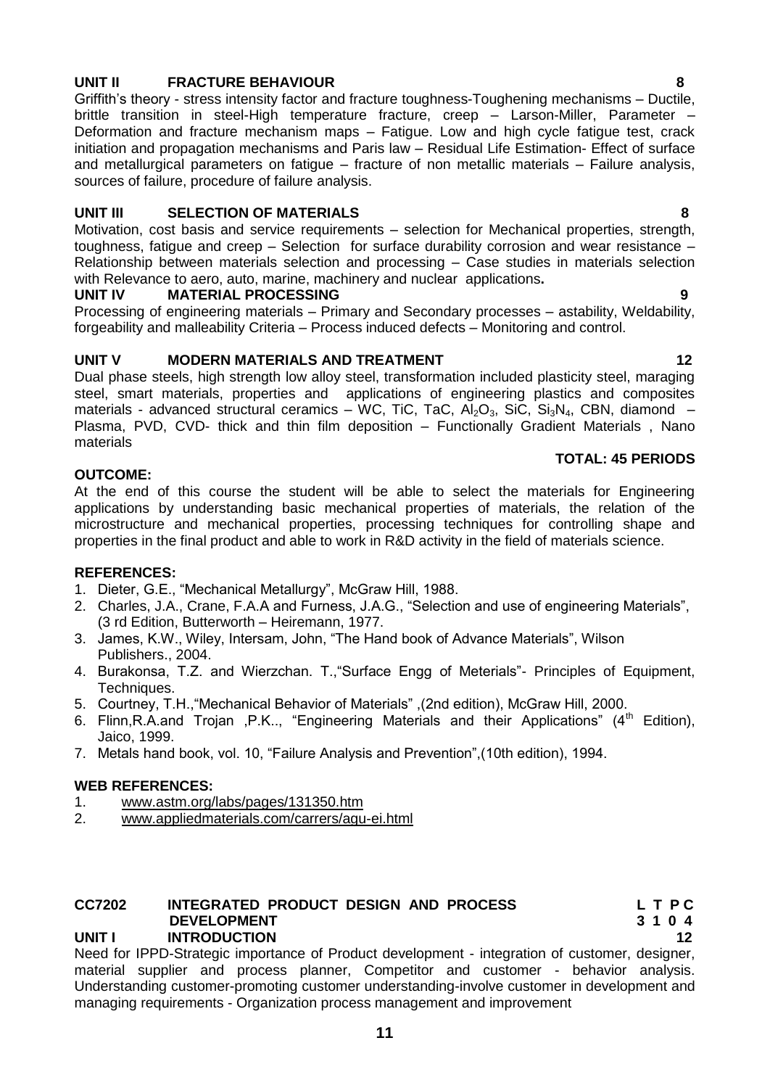# **UNIT II FRACTURE BEHAVIOUR 8**

Griffith's theory - stress intensity factor and fracture toughness-Toughening mechanisms – Ductile, brittle transition in steel-High temperature fracture, creep – Larson-Miller, Parameter – Deformation and fracture mechanism maps – Fatigue. Low and high cycle fatigue test, crack initiation and propagation mechanisms and Paris law – Residual Life Estimation- Effect of surface and metallurgical parameters on fatigue – fracture of non metallic materials – Failure analysis, sources of failure, procedure of failure analysis.

### **UNIT III SELECTION OF MATERIALS 8**

Motivation, cost basis and service requirements – selection for Mechanical properties, strength, toughness, fatigue and creep – Selection for surface durability corrosion and wear resistance – Relationship between materials selection and processing – Case studies in materials selection with Relevance to aero, auto, marine, machinery and nuclear applications**.**

### **UNIT IV MATERIAL PROCESSING 9**

Processing of engineering materials – Primary and Secondary processes – astability, Weldability, forgeability and malleability Criteria – Process induced defects – Monitoring and control.

### **UNIT V MODERN MATERIALS AND TREATMENT 12**

Dual phase steels, high strength low alloy steel, transformation included plasticity steel, maraging steel, smart materials, properties and applications of engineering plastics and composites materials - advanced structural ceramics – WC, TiC, TaC, Al<sub>2</sub>O<sub>3</sub>, SiC, Si<sub>3</sub>N<sub>4</sub>, CBN, diamond – Plasma, PVD, CVD- thick and thin film deposition – Functionally Gradient Materials , Nano materials

### **TOTAL: 45 PERIODS**

### **OUTCOME:**

At the end of this course the student will be able to select the materials for Engineering applications by understanding basic mechanical properties of materials, the relation of the microstructure and mechanical properties, processing techniques for controlling shape and properties in the final product and able to work in R&D activity in the field of materials science.

### **REFERENCES:**

- 1. Dieter, G.E., "Mechanical Metallurgy", McGraw Hill, 1988.
- 2. Charles, J.A., Crane, F.A.A and Furness, J.A.G., "Selection and use of engineering Materials", (3 rd Edition, Butterworth – Heiremann, 1977.
- 3. James, K.W., Wiley, Intersam, John, "The Hand book of Advance Materials", Wilson Publishers., 2004.
- 4. Burakonsa, T.Z. and Wierzchan. T.,"Surface Engg of Meterials"- Principles of Equipment, Techniques.
- 5. Courtney, T.H.,"Mechanical Behavior of Materials" ,(2nd edition), McGraw Hill, 2000.
- 6. Flinn, R.A.and Trojan , P.K.., "Engineering Materials and their Applications"  $(4<sup>th</sup>$  Edition), Jaico, 1999.
- 7. Metals hand book, vol. 10, "Failure Analysis and Prevention",(10th edition), 1994.

### **WEB REFERENCES:**

- 1. [www.astm.org/labs/pages/131350.htm](http://www.astm.org/labs/pages/131350.htm)<br>2. www.appliedmaterials.com/carrers/agu
- 2. [www.appliedmaterials.com/carrers/agu-ei.html](http://www.appliedmaterials.com/carrers/agu-ei.html)

### **CC7202 INTEGRATED PRODUCT DESIGN AND PROCESS L T P C DEVELOPMENT 3 1 0 4 UNIT I INTRODUCTION 12**

Need for IPPD-Strategic importance of Product development - integration of customer, designer, material supplier and process planner, Competitor and customer - behavior analysis. Understanding customer-promoting customer understanding-involve customer in development and managing requirements - Organization process management and improvement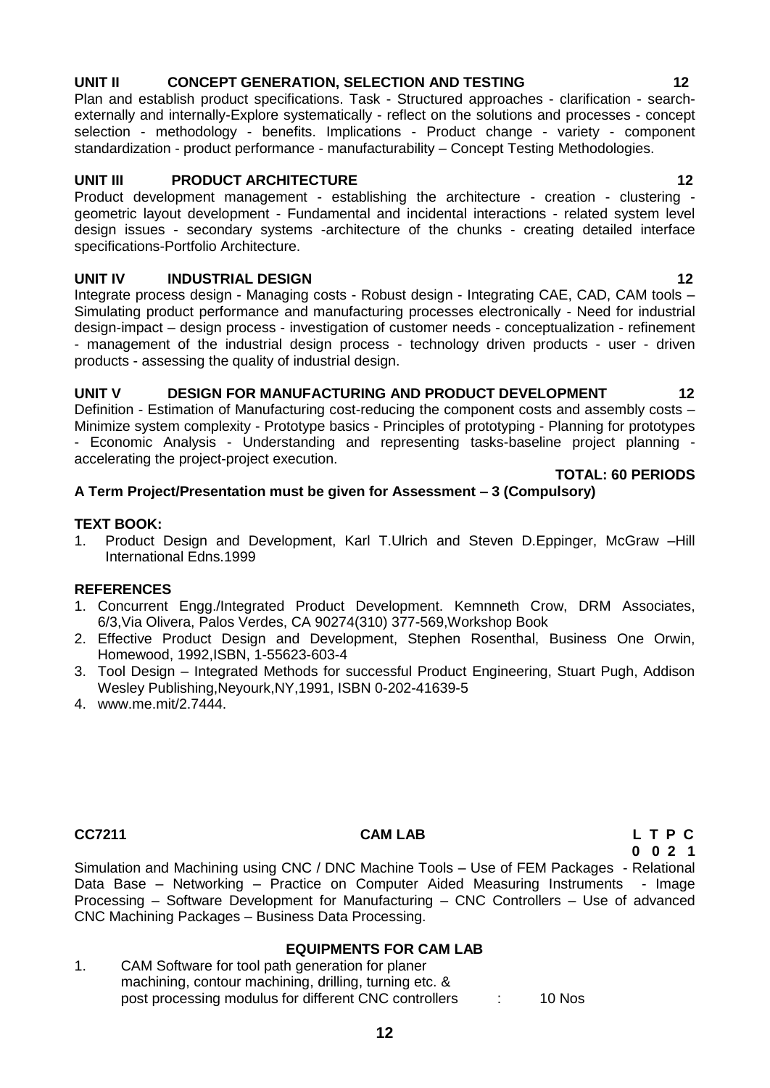# **12**

# **UNIT II CONCEPT GENERATION, SELECTION AND TESTING 12**

Plan and establish product specifications. Task - Structured approaches - clarification - searchexternally and internally-Explore systematically - reflect on the solutions and processes - concept selection - methodology - benefits. Implications - Product change - variety - component standardization - product performance - manufacturability – Concept Testing Methodologies.

# **UNIT III** PRODUCT ARCHITECTURE 12

Product development management - establishing the architecture - creation - clustering geometric layout development - Fundamental and incidental interactions - related system level design issues - secondary systems -architecture of the chunks - creating detailed interface specifications-Portfolio Architecture.

# **UNIT IV INDUSTRIAL DESIGN 12**

Integrate process design - Managing costs - Robust design - Integrating CAE, CAD, CAM tools – Simulating product performance and manufacturing processes electronically - Need for industrial design-impact – design process - investigation of customer needs - conceptualization - refinement - management of the industrial design process - technology driven products - user - driven products - assessing the quality of industrial design.

# **UNIT V DESIGN FOR MANUFACTURING AND PRODUCT DEVELOPMENT 12**

Definition - Estimation of Manufacturing cost-reducing the component costs and assembly costs – Minimize system complexity - Prototype basics - Principles of prototyping - Planning for prototypes - Economic Analysis - Understanding and representing tasks-baseline project planning accelerating the project-project execution. **TOTAL: 60 PERIODS**

# **A Term Project/Presentation must be given for Assessment – 3 (Compulsory)**

### **TEXT BOOK:**

1. Product Design and Development, Karl T.Ulrich and Steven D.Eppinger, McGraw –Hill International Edns.1999

# **REFERENCES**

- 1. Concurrent Engg./Integrated Product Development. Kemnneth Crow, DRM Associates, 6/3,Via Olivera, Palos Verdes, CA 90274(310) 377-569,Workshop Book
- 2. Effective Product Design and Development, Stephen Rosenthal, Business One Orwin, Homewood, 1992,ISBN, 1-55623-603-4
- 3. Tool Design Integrated Methods for successful Product Engineering, Stuart Pugh, Addison Wesley Publishing,Neyourk,NY,1991, ISBN 0-202-41639-5
- 4. [www.me.mit/2.7444.](http://www.me.mit/2.7444)

# **CC7211 CAM LAB L T P C**

**0 0 2 1**

Simulation and Machining using CNC / DNC Machine Tools – Use of FEM Packages - Relational Data Base – Networking – Practice on Computer Aided Measuring Instruments - Image Processing – Software Development for Manufacturing – CNC Controllers – Use of advanced CNC Machining Packages – Business Data Processing.

# **EQUIPMENTS FOR CAM LAB**

1. CAM Software for tool path generation for planer machining, contour machining, drilling, turning etc. & post processing modulus for different CNC controllers : 10 Nos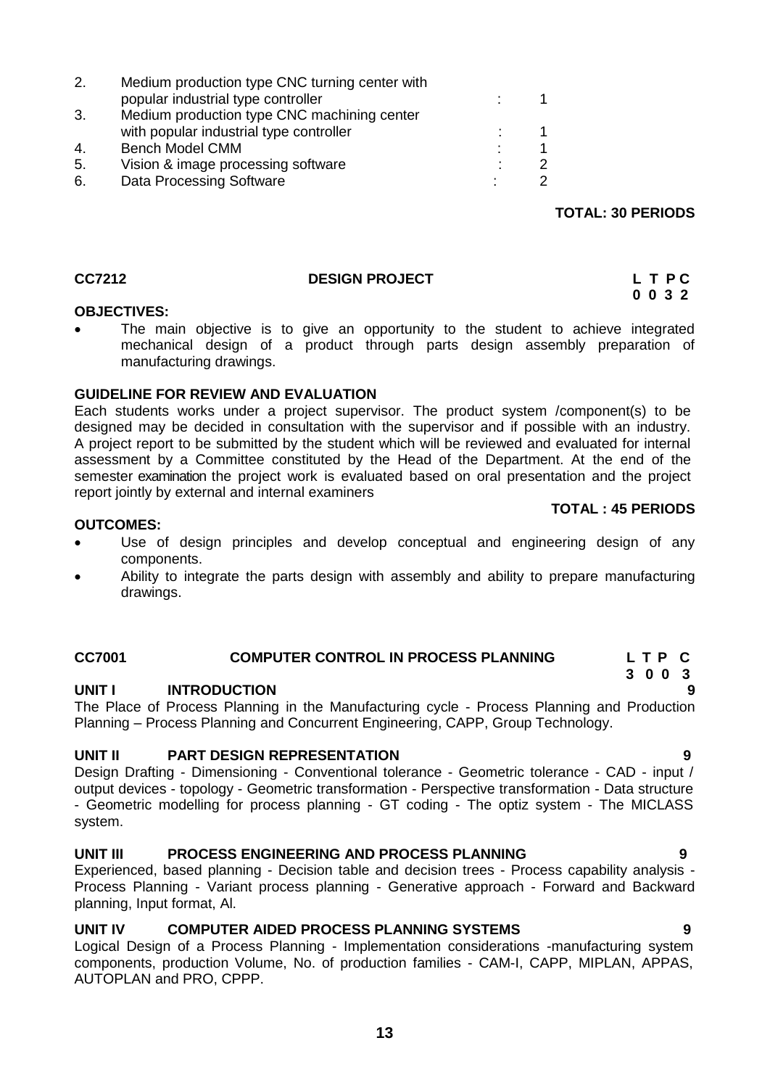| 2. | Medium production type CNC turning center with |   |   |
|----|------------------------------------------------|---|---|
|    | popular industrial type controller             |   |   |
| 3. | Medium production type CNC machining center    |   |   |
|    | with popular industrial type controller        |   |   |
| 4. | <b>Bench Model CMM</b>                         | ٠ |   |
| 5. | Vision & image processing software             |   | 2 |
| 6. | Data Processing Software                       |   | 2 |
|    |                                                |   |   |

# <span id="page-12-0"></span>**CC7212** DESIGN PROJECT L T P C

### **OBJECTIVES:**

 The main objective is to give an opportunity to the student to achieve integrated mechanical design of a product through parts design assembly preparation of manufacturing drawings.

# **GUIDELINE FOR REVIEW AND EVALUATION**

Each students works under a project supervisor. The product system /component(s) to be designed may be decided in consultation with the supervisor and if possible with an industry. A project report to be submitted by the student which will be reviewed and evaluated for internal assessment by a Committee constituted by the Head of the Department. At the end of the semester examination the project work is evaluated based on oral presentation and the project report jointly by external and internal examiners

### **OUTCOMES:**

- Use of design principles and develop conceptual and engineering design of any components.
- Ability to integrate the parts design with assembly and ability to prepare manufacturing drawings.

### **CC7001 COMPUTER CONTROL IN PROCESS PLANNING L T P C**

### UNIT **INTRODUCTION**

The Place of Process Planning in the Manufacturing cycle - Process Planning and Production Planning – Process Planning and Concurrent Engineering, CAPP, Group Technology.

### **UNIT II PART DESIGN REPRESENTATION 9**

Design Drafting - Dimensioning - Conventional tolerance - Geometric tolerance - CAD - input / output devices - topology - Geometric transformation - Perspective transformation - Data structure - Geometric modelling for process planning - GT coding - The optiz system - The MICLASS system.

### **UNIT III PROCESS ENGINEERING AND PROCESS PLANNING 9**

Experienced, based planning - Decision table and decision trees - Process capability analysis - Process Planning - Variant process planning - Generative approach - Forward and Backward planning, Input format, Al.

# **UNIT IV COMPUTER AIDED PROCESS PLANNING SYSTEMS 9**

Logical Design of a Process Planning - Implementation considerations -manufacturing system components, production Volume, No. of production families - CAM-I, CAPP, MIPLAN, APPAS, AUTOPLAN and PRO, CPPP.

### **TOTAL : 45 PERIODS**

**TOTAL: 30 PERIODS**

 **0 0 3 2**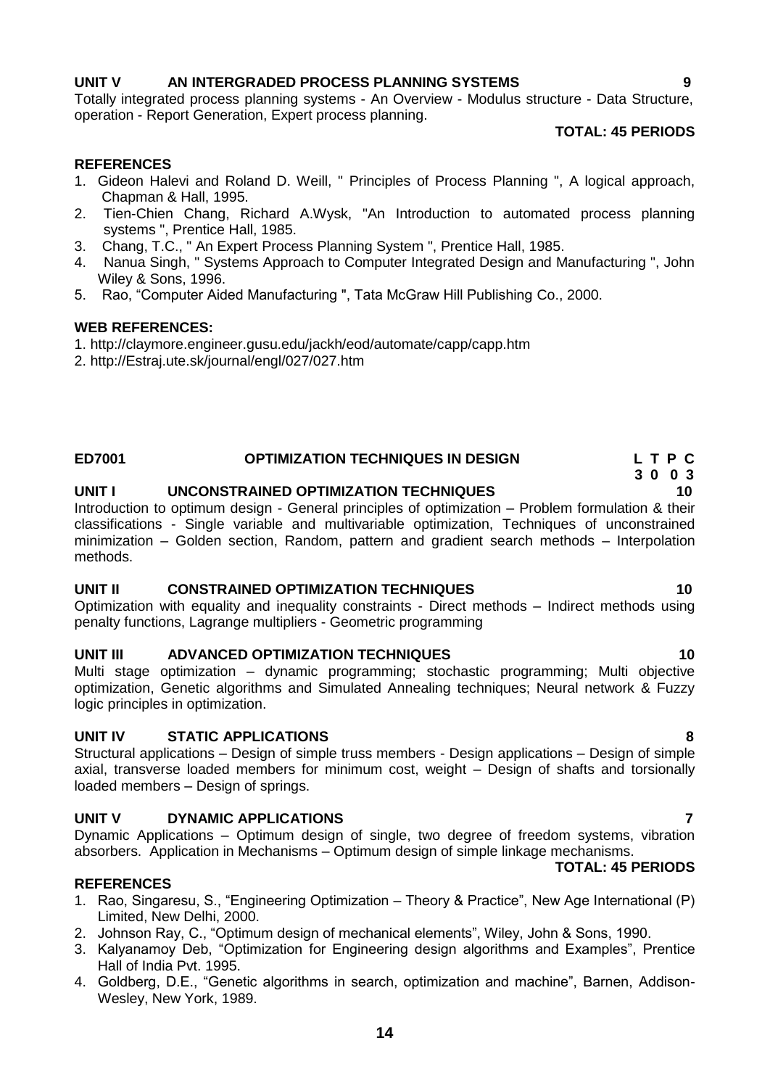### **UNIT V AN INTERGRADED PROCESS PLANNING SYSTEMS 9**

Totally integrated process planning systems - An Overview - Modulus structure - Data Structure, operation - Report Generation, Expert process planning.

### **TOTAL: 45 PERIODS**

### **REFERENCES**

- 1. Gideon Halevi and Roland D. Weill, " Principles of Process Planning ", A logical approach, Chapman & Hall, 1995.
- 2. Tien-Chien Chang, Richard A.Wysk, "An Introduction to automated process planning systems ", Prentice Hall, 1985.
- 3. Chang, T.C., " An Expert Process Planning System ", Prentice Hall, 1985.
- 4. Nanua Singh, " Systems Approach to Computer Integrated Design and Manufacturing ", John Wiley & Sons, 1996.
- 5. Rao, "Computer Aided Manufacturing ", Tata McGraw Hill Publishing Co., 2000.

### **WEB REFERENCES:**

1. http://claymore.engineer.gusu.edu/jackh/eod/automate/capp/capp.htm

2. http://Estraj.ute.sk/journal/engl/027/027.htm

### **ED7001 OPTIMIZATION TECHNIQUES IN DESIGN L T P C**

### **UNIT I UNCONSTRAINED OPTIMIZATION TECHNIQUES 10**

Introduction to optimum design - General principles of optimization – Problem formulation & their classifications - Single variable and multivariable optimization, Techniques of unconstrained minimization – Golden section, Random, pattern and gradient search methods – Interpolation methods.

### **UNIT II CONSTRAINED OPTIMIZATION TECHNIQUES 10**

Optimization with equality and inequality constraints - Direct methods – Indirect methods using penalty functions, Lagrange multipliers - Geometric programming

### **UNIT III ADVANCED OPTIMIZATION TECHNIQUES 10**

Multi stage optimization – dynamic programming; stochastic programming; Multi objective optimization, Genetic algorithms and Simulated Annealing techniques; Neural network & Fuzzy logic principles in optimization.

### **UNIT IV STATIC APPLICATIONS 8**

Structural applications – Design of simple truss members - Design applications – Design of simple axial, transverse loaded members for minimum cost, weight – Design of shafts and torsionally loaded members – Design of springs.

### **UNIT V DYNAMIC APPLICATIONS 7**

Dynamic Applications – Optimum design of single, two degree of freedom systems, vibration absorbers. Application in Mechanisms – Optimum design of simple linkage mechanisms.

### **REFERENCES**

- 1. Rao, Singaresu, S., "Engineering Optimization Theory & Practice", New Age International (P) Limited, New Delhi, 2000.
- 2. Johnson Ray, C., "Optimum design of mechanical elements", Wiley, John & Sons, 1990.
- 3. Kalyanamoy Deb, "Optimization for Engineering design algorithms and Examples", Prentice Hall of India Pvt. 1995.
- 4. Goldberg, D.E., "Genetic algorithms in search, optimization and machine", Barnen, Addison-Wesley, New York, 1989.

# **TOTAL: 45 PERIODS**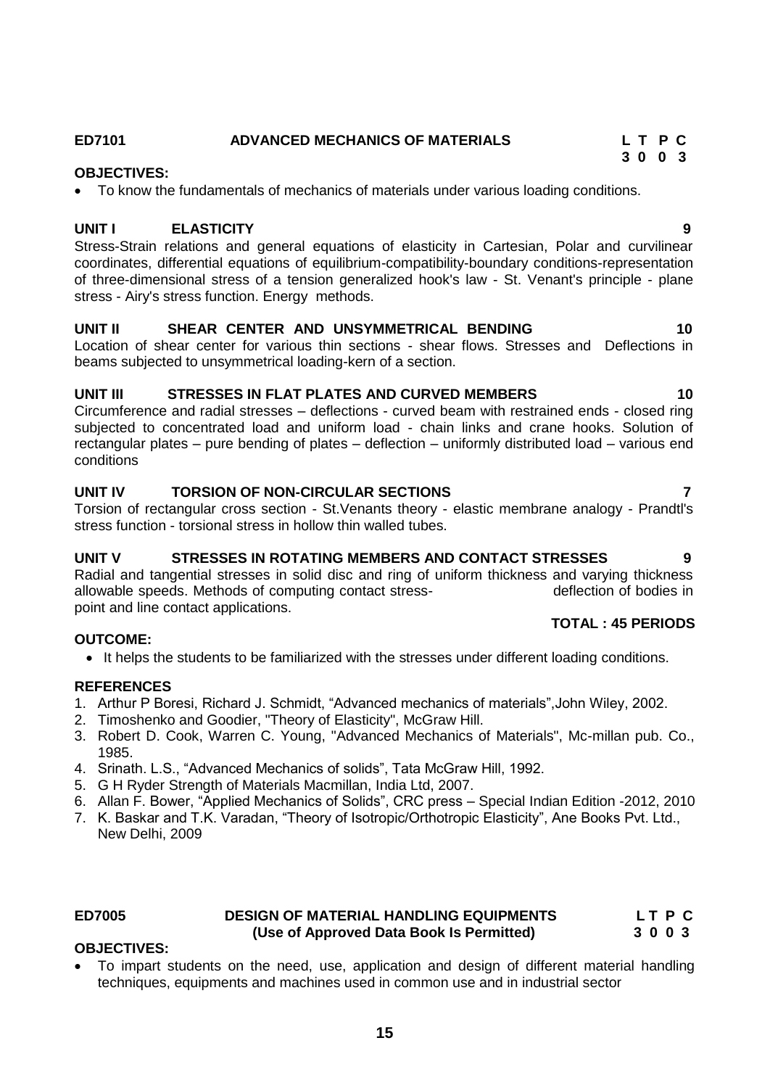# **ED7101 ADVANCED MECHANICS OF MATERIALS L T P C**

### **OBJECTIVES:**

To know the fundamentals of mechanics of materials under various loading conditions.

### **UNIT I ELASTICITY**

Stress-Strain relations and general equations of elasticity in Cartesian, Polar and curvilinear coordinates, differential equations of equilibrium-compatibility-boundary conditions-representation of three-dimensional stress of a tension generalized hook's law - St. Venant's principle - plane stress - Airy's stress function. Energy methods.

### **UNIT II SHEAR CENTER AND UNSYMMETRICAL BENDING 10**

Location of shear center for various thin sections - shear flows. Stresses and Deflections in beams subjected to unsymmetrical loading-kern of a section.

### **UNIT III STRESSES IN FLAT PLATES AND CURVED MEMBERS 10**

Circumference and radial stresses – deflections - curved beam with restrained ends - closed ring subjected to concentrated load and uniform load - chain links and crane hooks. Solution of rectangular plates – pure bending of plates – deflection – uniformly distributed load – various end conditions

### **UNIT IV TORSION OF NON-CIRCULAR SECTIONS 7**

Torsion of rectangular cross section - St.Venants theory - elastic membrane analogy - Prandtl's stress function - torsional stress in hollow thin walled tubes.

### **UNIT V STRESSES IN ROTATING MEMBERS AND CONTACT STRESSES 9**

Radial and tangential stresses in solid disc and ring of uniform thickness and varying thickness allowable speeds. Methods of computing contact stress- deflection of bodies in point and line contact applications.

### **OUTCOME:**

• It helps the students to be familiarized with the stresses under different loading conditions.

### **REFERENCES**

- 1. Arthur P Boresi, Richard J. Schmidt, "Advanced mechanics of materials",John Wiley, 2002.
- 2. Timoshenko and Goodier, "Theory of Elasticity", McGraw Hill.
- 3. Robert D. Cook, Warren C. Young, "Advanced Mechanics of Materials", Mc-millan pub. Co., 1985.
- 4. Srinath. L.S., "Advanced Mechanics of solids", Tata McGraw Hill, 1992.
- 5. G H Ryder Strength of Materials Macmillan, India Ltd, 2007.
- 6. Allan F. Bower, "Applied Mechanics of Solids", CRC press Special Indian Edition -2012, 2010
- 7. K. Baskar and T.K. Varadan, "Theory of Isotropic/Orthotropic Elasticity", Ane Books Pvt. Ltd., New Delhi, 2009

### **ED7005 DESIGN OF MATERIAL HANDLING EQUIPMENTS L T P C (Use of Approved Data Book Is Permitted) 3 0 0 3**

### **OBJECTIVES:**

 To impart students on the need, use, application and design of different material handling techniques, equipments and machines used in common use and in industrial sector

 **3 0 0 3**

**TOTAL : 45 PERIODS**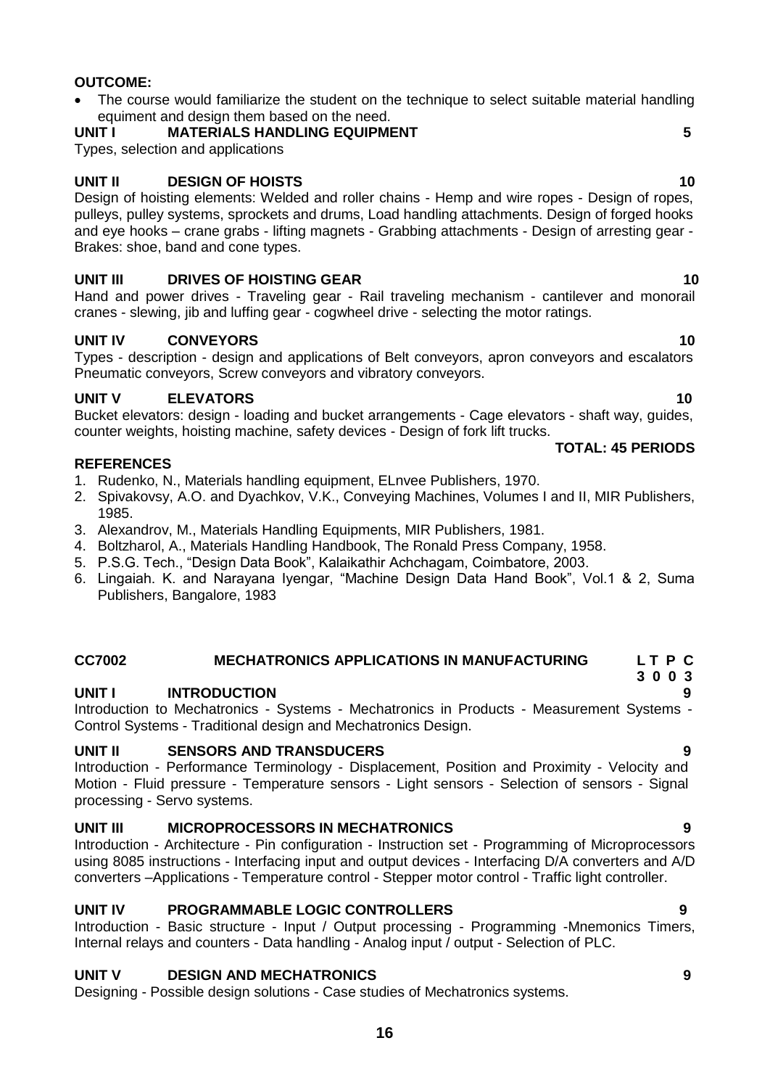- **REFERENCES** 1. Rudenko, N., Materials handling equipment, ELnvee Publishers, 1970.
- 2. Spivakovsy, A.O. and Dyachkov, V.K., Conveying Machines, Volumes I and II, MIR Publishers, 1985.
- 3. Alexandrov, M., Materials Handling Equipments, MIR Publishers, 1981.
- 4. Boltzharol, A., Materials Handling Handbook, The Ronald Press Company, 1958.
- 5. P.S.G. Tech., "Design Data Book", Kalaikathir Achchagam, Coimbatore, 2003.
- 6. Lingaiah. K. and Narayana Iyengar, "Machine Design Data Hand Book", Vol.1 & 2, Suma Publishers, Bangalore, 1983

# **CC7002 MECHATRONICS APPLICATIONS IN MANUFACTURING L T P C**

### **UNIT I INTRODUCTION 9**

Introduction to Mechatronics - Systems - Mechatronics in Products - Measurement Systems - Control Systems - Traditional design and Mechatronics Design.

### **UNIT II SENSORS AND TRANSDUCERS 9**

Introduction - Performance Terminology - Displacement, Position and Proximity - Velocity and Motion - Fluid pressure - Temperature sensors - Light sensors - Selection of sensors - Signal processing - Servo systems.

# **UNIT III MICROPROCESSORS IN MECHATRONICS 9**

Introduction - Architecture - Pin configuration - Instruction set - Programming of Microprocessors using 8085 instructions - Interfacing input and output devices - Interfacing D/A converters and A/D converters –Applications - Temperature control - Stepper motor control - Traffic light controller.

# **UNIT IV PROGRAMMABLE LOGIC CONTROLLERS 9**

Introduction - Basic structure - Input / Output processing - Programming -Mnemonics Timers, Internal relays and counters - Data handling - Analog input / output - Selection of PLC.

# **UNIT V DESIGN AND MECHATRONICS 9**

Designing - Possible design solutions - Case studies of Mechatronics systems.

**16**

### **OUTCOME:**

- The course would familiarize the student on the technique to select suitable material handling equiment and design them based on the need.
- **UNIT I MATERIALS HANDLING EQUIPMENT 5**

Types, selection and applications

### **UNIT II DESIGN OF HOISTS 10**

Design of hoisting elements: Welded and roller chains - Hemp and wire ropes - Design of ropes, pulleys, pulley systems, sprockets and drums, Load handling attachments. Design of forged hooks and eye hooks – crane grabs - lifting magnets - Grabbing attachments - Design of arresting gear - Brakes: shoe, band and cone types.

### **UNIT III DRIVES OF HOISTING GEAR 10**

Hand and power drives - Traveling gear - Rail traveling mechanism - cantilever and monorail cranes - slewing, jib and luffing gear - cogwheel drive - selecting the motor ratings.

### **UNIT IV CONVEYORS** 10

Types - description - design and applications of Belt conveyors, apron conveyors and escalators Pneumatic conveyors, Screw conveyors and vibratory conveyors.

### **UNIT V ELEVATORS 10**

Bucket elevators: design - loading and bucket arrangements - Cage elevators - shaft way, guides, counter weights, hoisting machine, safety devices - Design of fork lift trucks.

# **TOTAL: 45 PERIODS**

 **3 0 0 3**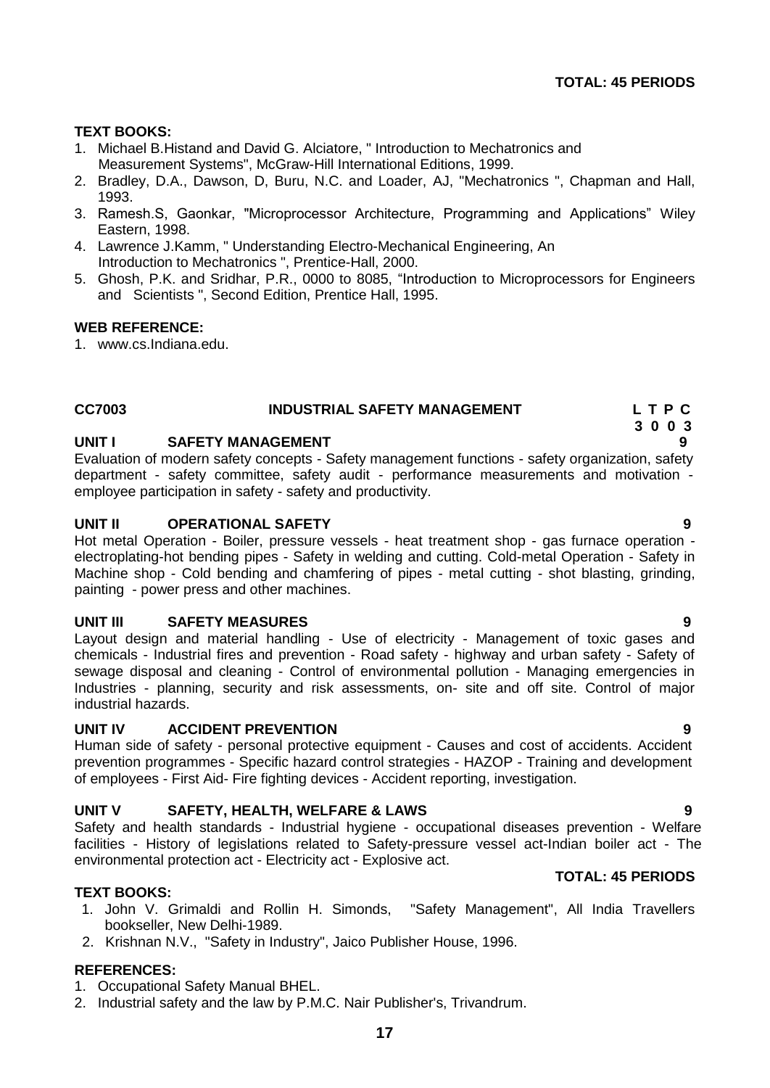### **TEXT BOOKS:**

- 1. Michael B.Histand and David G. Alciatore, " Introduction to Mechatronics and Measurement Systems", McGraw-Hill International Editions, 1999.
- 2. Bradley, D.A., Dawson, D, Buru, N.C. and Loader, AJ, "Mechatronics ", Chapman and Hall, 1993.
- 3. Ramesh.S, Gaonkar, "Microprocessor Architecture, Programming and Applications" Wiley Eastern, 1998.
- 4. Lawrence J.Kamm, " Understanding Electro-Mechanical Engineering, An Introduction to Mechatronics ", Prentice-Hall, 2000.
- 5. Ghosh, P.K. and Sridhar, P.R., 0000 to 8085, "Introduction to Microprocessors for Engineers and Scientists ", Second Edition, Prentice Hall, 1995.

### **WEB REFERENCE:**

1. [www.cs.Indiana.edu.](http://www.cs.indiana.edu/)

# <span id="page-16-0"></span>**CC7003 INDUSTRIAL SAFETY MANAGEMENT L T P C**

### **UNIT I SAFETY MANAGEMENT 9**

Evaluation of modern safety concepts - Safety management functions - safety organization, safety department - safety committee, safety audit - performance measurements and motivation employee participation in safety - safety and productivity.

### **UNIT II OPERATIONAL SAFETY 9**

Hot metal Operation - Boiler, pressure vessels - heat treatment shop - gas furnace operation electroplating-hot bending pipes - Safety in welding and cutting. Cold-metal Operation - Safety in Machine shop - Cold bending and chamfering of pipes - metal cutting - shot blasting, grinding, painting - power press and other machines.

### **UNIT III SAFETY MEASURES 9**

Layout design and material handling - Use of electricity - Management of toxic gases and chemicals - Industrial fires and prevention - Road safety - highway and urban safety - Safety of sewage disposal and cleaning - Control of environmental pollution - Managing emergencies in Industries - planning, security and risk assessments, on- site and off site. Control of major industrial hazards.

### **UNIT IV ACCIDENT PREVENTION 9**

Human side of safety - personal protective equipment - Causes and cost of accidents. Accident prevention programmes - Specific hazard control strategies - HAZOP - Training and development of employees - First Aid- Fire fighting devices - Accident reporting, investigation.

### **UNIT V SAFETY, HEALTH, WELFARE & LAWS 9**

Safety and health standards - Industrial hygiene - occupational diseases prevention - Welfare facilities - History of legislations related to Safety-pressure vessel act-Indian boiler act - The environmental protection act - Electricity act - Explosive act.

### **TEXT BOOKS:**

- 1. John V. Grimaldi and Rollin H. Simonds, "Safety Management", All India Travellers bookseller, New Delhi-1989.
- 2. Krishnan N.V., "Safety in Industry", Jaico Publisher House, 1996.

### **REFERENCES:**

- 1. Occupational Safety Manual BHEL.
- 2. Industrial safety and the law by P.M.C. Nair Publisher's, Trivandrum.

### **TOTAL: 45 PERIODS**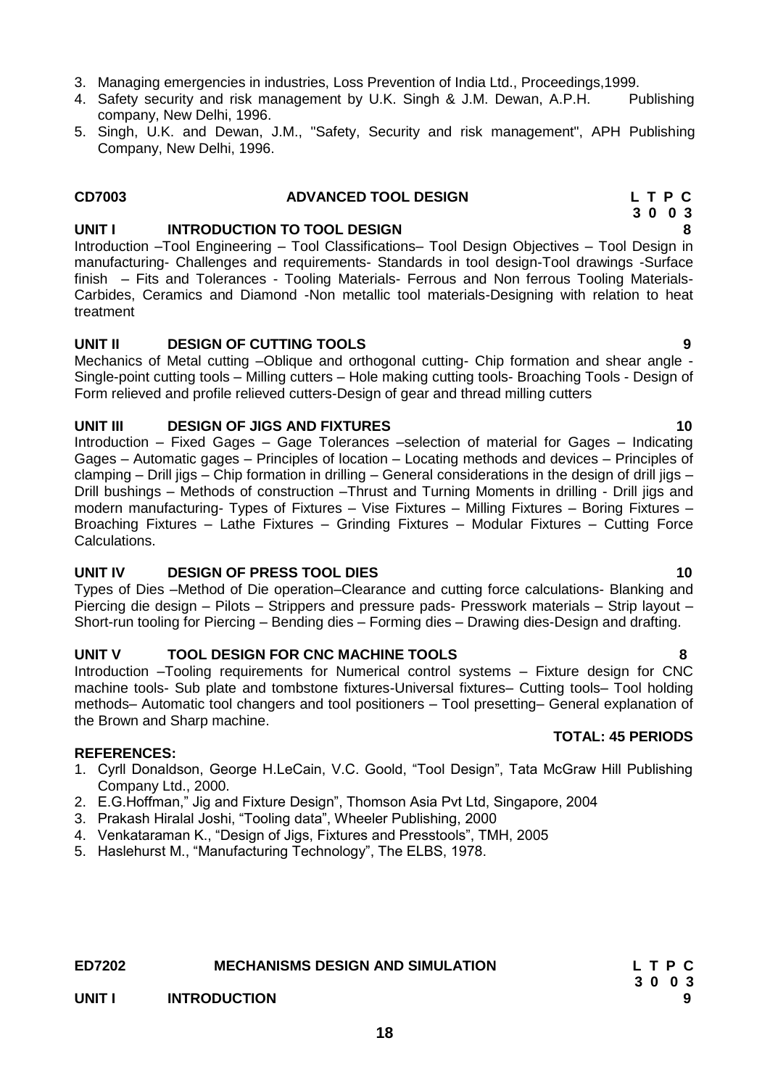- -
	- 5. Haslehurst M., "Manufacturing Technology", The ELBS, 1978.

# **18**

**UNIT IV DESIGN OF PRESS TOOL DIES** 10 Piercing die design – Pilots – Strippers and pressure pads- Presswork materials – Strip layout –

### **UNIT III DESIGN OF JIGS AND FIXTURES 10**

treatment **UNIT II DESIGN OF CUTTING TOOLS 9** Mechanics of Metal cutting –Oblique and orthogonal cutting- Chip formation and shear angle - Single-point cutting tools – Milling cutters – Hole making cutting tools- Broaching Tools - Design of

Introduction –Tool Engineering – Tool Classifications– Tool Design Objectives – Tool Design in manufacturing- Challenges and requirements- Standards in tool design-Tool drawings -Surface finish – Fits and Tolerances - Tooling Materials- Ferrous and Non ferrous Tooling Materials-Carbides, Ceramics and Diamond -Non metallic tool materials-Designing with relation to heat

Form relieved and profile relieved cutters-Design of gear and thread milling cutters

Introduction – Fixed Gages – Gage Tolerances –selection of material for Gages – Indicating Gages – Automatic gages – Principles of location – Locating methods and devices – Principles of clamping – Drill jigs – Chip formation in drilling – General considerations in the design of drill jigs – Drill bushings – Methods of construction –Thrust and Turning Moments in drilling - Drill jigs and modern manufacturing- Types of Fixtures – Vise Fixtures – Milling Fixtures – Boring Fixtures – Broaching Fixtures – Lathe Fixtures – Grinding Fixtures – Modular Fixtures – Cutting Force Calculations.

Types of Dies –Method of Die operation–Clearance and cutting force calculations- Blanking and Short-run tooling for Piercing – Bending dies – Forming dies – Drawing dies-Design and drafting.

### **UNIT V TOOL DESIGN FOR CNC MACHINE TOOLS 8**

Introduction –Tooling requirements for Numerical control systems – Fixture design for CNC machine tools- Sub plate and tombstone fixtures-Universal fixtures– Cutting tools– Tool holding methods– Automatic tool changers and tool positioners – Tool presetting– General explanation of the Brown and Sharp machine. **TOTAL: 45 PERIODS** 

### **REFERENCES:**

- 1. Cyrll Donaldson, George H.LeCain, V.C. Goold, "Tool Design", Tata McGraw Hill Publishing Company Ltd., 2000.
- 2. E.G.Hoffman," Jig and Fixture Design", Thomson Asia Pvt Ltd, Singapore, 2004
- 3. Prakash Hiralal Joshi, "Tooling data", Wheeler Publishing, 2000
- 4. Venkataraman K., "Design of Jigs, Fixtures and Presstools", TMH, 2005
- 
- 
- 4. Safety security and risk management by U.K. Singh & J.M. Dewan, A.P.H. Publishing company, New Delhi, 1996.
- 5. Singh, U.K. and Dewan, J.M., "Safety, Security and risk management", APH Publishing Company, New Delhi, 1996.

# 3. Managing emergencies in industries, Loss Prevention of India Ltd., Proceedings,1999.

# **ED7202 MECHANISMS DESIGN AND SIMULATION L T P C 3 0 0 3 UNIT I INTRODUCTION 9**

### **CD7003 ADVANCED TOOL DESIGN L T P C 3 0 0 3 UNIT I INTRODUCTION TO TOOL DESIGN 8**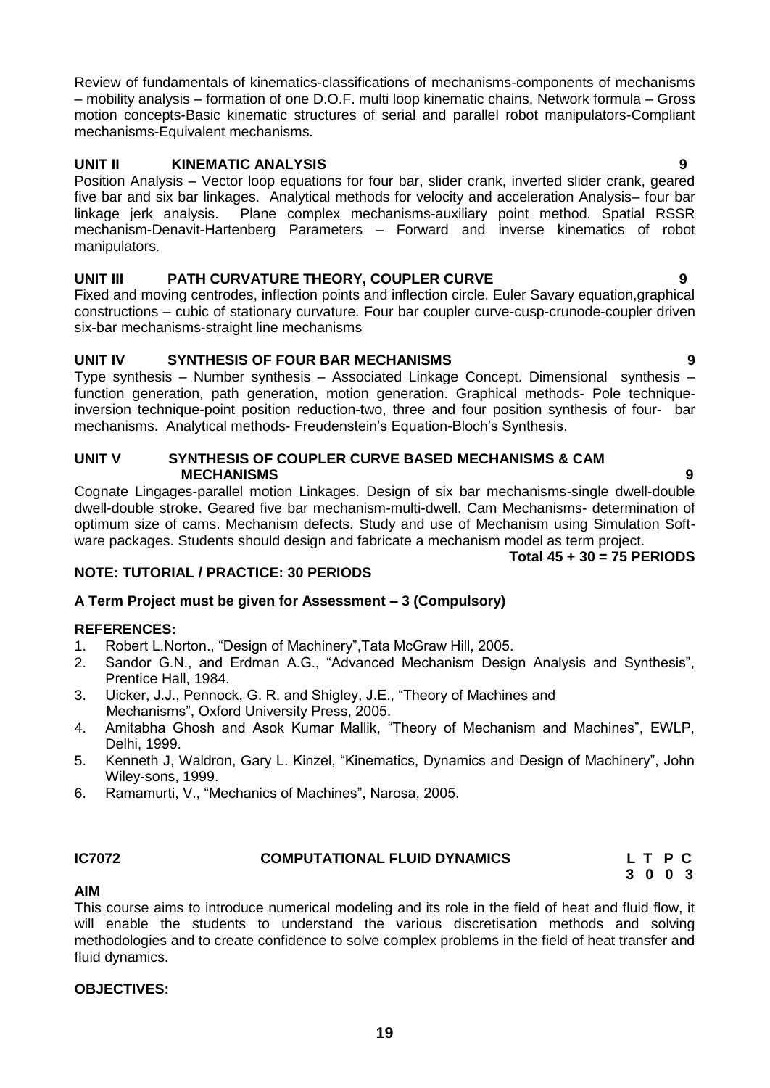Review of fundamentals of kinematics-classifications of mechanisms-components of mechanisms – mobility analysis – formation of one D.O.F. multi loop kinematic chains, Network formula – Gross motion concepts-Basic kinematic structures of serial and parallel robot manipulators-Compliant mechanisms-Equivalent mechanisms.

# **UNIT II KINEMATIC ANALYSIS 9**

Position Analysis – Vector loop equations for four bar, slider crank, inverted slider crank, geared five bar and six bar linkages. Analytical methods for velocity and acceleration Analysis– four bar linkage jerk analysis. Plane complex mechanisms-auxiliary point method. Spatial RSSR mechanism-Denavit-Hartenberg Parameters – Forward and inverse kinematics of robot manipulators.

# **UNIT III PATH CURVATURE THEORY, COUPLER CURVE 9**

Fixed and moving centrodes, inflection points and inflection circle. Euler Savary equation,graphical constructions – cubic of stationary curvature. Four bar coupler curve-cusp-crunode-coupler driven six-bar mechanisms-straight line mechanisms

# **UNIT IV SYNTHESIS OF FOUR BAR MECHANISMS 9**

Type synthesis – Number synthesis – Associated Linkage Concept. Dimensional synthesis – function generation, path generation, motion generation. Graphical methods- Pole techniqueinversion technique-point position reduction-two, three and four position synthesis of four- bar mechanisms. Analytical methods- Freudenstein's Equation-Bloch's Synthesis.

### **UNIT V SYNTHESIS OF COUPLER CURVE BASED MECHANISMS & CAM MECHANISMS 9**

Cognate Lingages-parallel motion Linkages. Design of six bar mechanisms-single dwell-double dwell-double stroke. Geared five bar mechanism-multi-dwell. Cam Mechanisms- determination of optimum size of cams. Mechanism defects. Study and use of Mechanism using Simulation Software packages. Students should design and fabricate a mechanism model as term project.

# **Total 45 + 30 = 75 PERIODS**

# **NOTE: TUTORIAL / PRACTICE: 30 PERIODS**

# **A Term Project must be given for Assessment – 3 (Compulsory)**

# **REFERENCES:**

- 1. Robert L.Norton., "Design of Machinery",Tata McGraw Hill, 2005.
- 2. Sandor G.N., and Erdman A.G., "Advanced Mechanism Design Analysis and Synthesis", Prentice Hall, 1984.
- 3. Uicker, J.J., Pennock, G. R. and Shigley, J.E., "Theory of Machines and Mechanisms", Oxford University Press, 2005.
- 4. Amitabha Ghosh and Asok Kumar Mallik, "Theory of Mechanism and Machines", EWLP, Delhi, 1999.
- 5. Kenneth J, Waldron, Gary L. Kinzel, "Kinematics, Dynamics and Design of Machinery", John Wiley-sons, 1999.
- 6. Ramamurti, V., "Mechanics of Machines", Narosa, 2005.

### <span id="page-18-0"></span>**IC7072 COMPUTATIONAL FLUID DYNAMICS L T P C**

 **3 0 0 3** 

### **AIM**

This course aims to introduce numerical modeling and its role in the field of heat and fluid flow, it will enable the students to understand the various discretisation methods and solving methodologies and to create confidence to solve complex problems in the field of heat transfer and fluid dynamics.

# **OBJECTIVES:**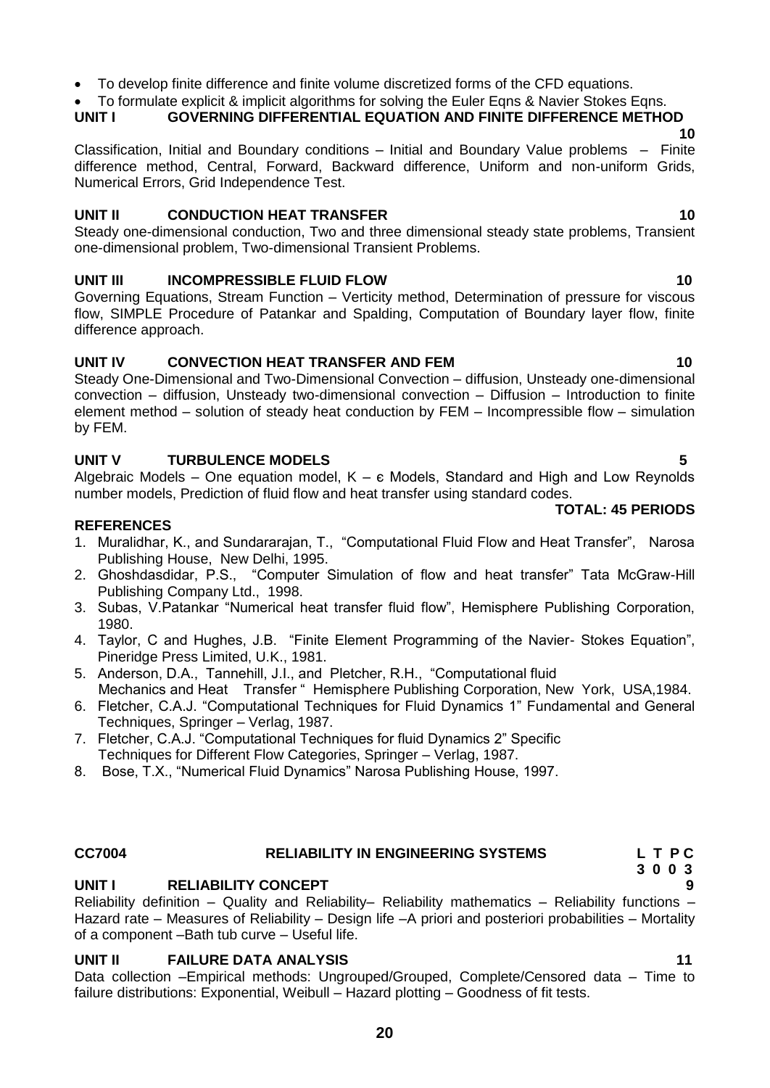• To develop finite difference and finite volume discretized forms of the CFD equations.

• To formulate explicit & implicit algorithms for solving the Euler Egns & Navier Stokes Egns.

**UNIT I GOVERNING DIFFERENTIAL EQUATION AND FINITE DIFFERENCE METHOD 10**

Classification, Initial and Boundary conditions – Initial and Boundary Value problems – Finite difference method, Central, Forward, Backward difference, Uniform and non-uniform Grids, Numerical Errors, Grid Independence Test.

# **UNIT II** CONDUCTION HEAT TRANSFER 10

Steady one-dimensional conduction, Two and three dimensional steady state problems, Transient one-dimensional problem, Two-dimensional Transient Problems.

# **UNIT III** INCOMPRESSIBLE FLUID FLOW **10** 10

Governing Equations, Stream Function – Verticity method, Determination of pressure for viscous flow, SIMPLE Procedure of Patankar and Spalding, Computation of Boundary layer flow, finite difference approach.

# UNIT IV CONVECTION HEAT TRANSFER AND FEM 10

Steady One-Dimensional and Two-Dimensional Convection – diffusion, Unsteady one-dimensional convection – diffusion, Unsteady two-dimensional convection – Diffusion – Introduction to finite element method – solution of steady heat conduction by FEM – Incompressible flow – simulation by FEM.

### **UNIT V TURBULENCE MODELS 5**

Algebraic Models – One equation model,  $K - \varepsilon$  Models, Standard and High and Low Reynolds number models, Prediction of fluid flow and heat transfer using standard codes.

### **REFERENCES**

- 1. Muralidhar, K., and Sundararajan, T., "Computational Fluid Flow and Heat Transfer", Narosa Publishing House, New Delhi, 1995.
- 2. Ghoshdasdidar, P.S., "Computer Simulation of flow and heat transfer" Tata McGraw-Hill Publishing Company Ltd., 1998.
- 3. Subas, V.Patankar "Numerical heat transfer fluid flow", Hemisphere Publishing Corporation, 1980.
- 4. Taylor, C and Hughes, J.B. "Finite Element Programming of the Navier- Stokes Equation", Pineridge Press Limited, U.K., 1981.
- 5. Anderson, D.A., Tannehill, J.I., and Pletcher, R.H., "Computational fluid Mechanics and Heat Transfer " Hemisphere Publishing Corporation, New York, USA,1984.
- 6. Fletcher, C.A.J. "Computational Techniques for Fluid Dynamics 1" Fundamental and General Techniques, Springer – Verlag, 1987.
- 7. Fletcher, C.A.J. "Computational Techniques for fluid Dynamics 2" Specific Techniques for Different Flow Categories, Springer – Verlag, 1987.
- 8. Bose, T.X., "Numerical Fluid Dynamics" Narosa Publishing House, 1997.

# **UNIT I RELIABILITY CONCEPT 9**

Reliability definition – Quality and Reliability– Reliability mathematics – Reliability functions – Hazard rate – Measures of Reliability – Design life –A priori and posteriori probabilities – Mortality of a component –Bath tub curve – Useful life.

### **UNIT II FAILURE DATA ANALYSIS 11**

Data collection –Empirical methods: Ungrouped/Grouped, Complete/Censored data – Time to failure distributions: Exponential, Weibull – Hazard plotting – Goodness of fit tests.

### **TOTAL: 45 PERIODS**

**CC7004 RELIABILITY IN ENGINEERING SYSTEMS L T P C 3 0 0 3**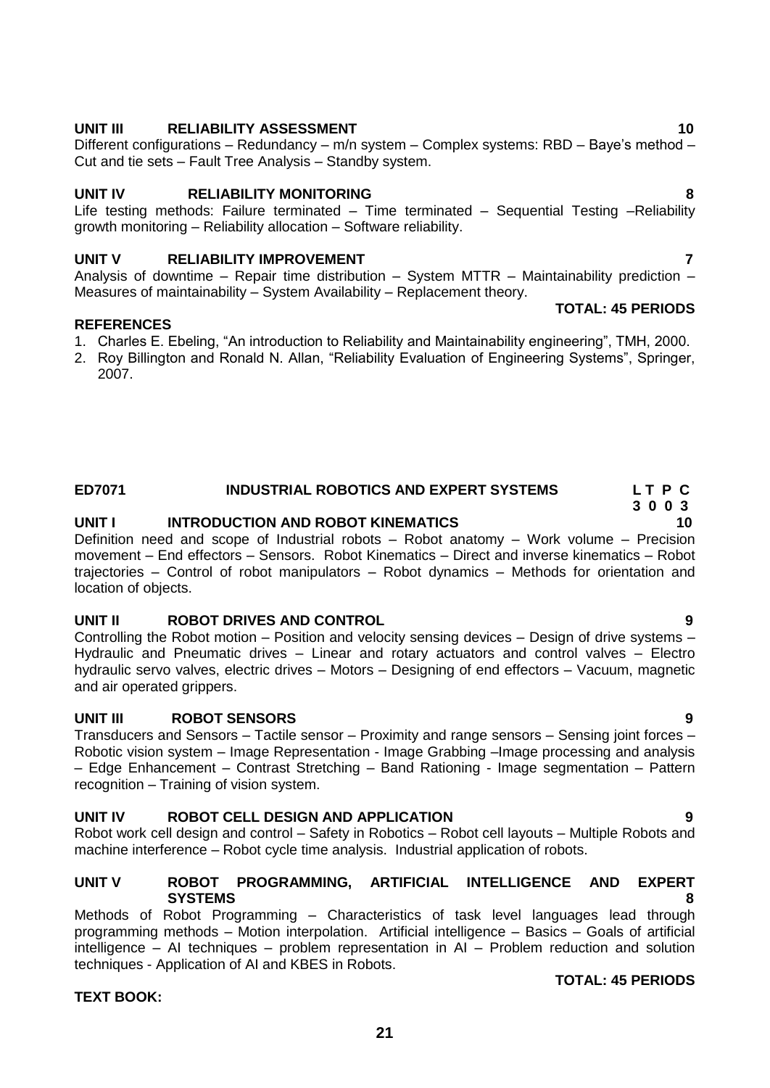# **UNIT III** RELIABILITY ASSESSMENT 10

Different configurations – Redundancy – m/n system – Complex systems: RBD – Baye's method – Cut and tie sets – Fault Tree Analysis – Standby system.

### **UNIT IV RELIABILITY MONITORING 8**

Life testing methods: Failure terminated – Time terminated – Sequential Testing –Reliability growth monitoring – Reliability allocation – Software reliability.

### **UNIT V RELIABILITY IMPROVEMENT THE RELIABILITY OF RELIABILITY OF RELIABILITY**

Analysis of downtime – Repair time distribution – System MTTR – Maintainability prediction – Measures of maintainability – System Availability – Replacement theory.

### **REFERENCES**

- 1. Charles E. Ebeling, "An introduction to Reliability and Maintainability engineering", TMH, 2000.
- 2. Roy Billington and Ronald N. Allan, "Reliability Evaluation of Engineering Systems", Springer, 2007.

# **ED7071 INDUSTRIAL ROBOTICS AND EXPERT SYSTEMS L T P C**

# **UNIT I INTRODUCTION AND ROBOT KINEMATICS 10**

Definition need and scope of Industrial robots – Robot anatomy – Work volume – Precision movement – End effectors – Sensors. Robot Kinematics – Direct and inverse kinematics – Robot trajectories – Control of robot manipulators – Robot dynamics – Methods for orientation and location of objects.

# **UNIT II ROBOT DRIVES AND CONTROL 9**

Controlling the Robot motion – Position and velocity sensing devices – Design of drive systems – Hydraulic and Pneumatic drives – Linear and rotary actuators and control valves – Electro hydraulic servo valves, electric drives – Motors – Designing of end effectors – Vacuum, magnetic and air operated grippers.

### **UNIT III ROBOT SENSORS**

Transducers and Sensors – Tactile sensor – Proximity and range sensors – Sensing joint forces – Robotic vision system – Image Representation - Image Grabbing –Image processing and analysis – Edge Enhancement – Contrast Stretching – Band Rationing - Image segmentation – Pattern recognition – Training of vision system.

# **UNIT IV ROBOT CELL DESIGN AND APPLICATION 9**

Robot work cell design and control – Safety in Robotics – Robot cell layouts – Multiple Robots and machine interference – Robot cycle time analysis. Industrial application of robots.

### **UNIT V ROBOT PROGRAMMING, ARTIFICIAL INTELLIGENCE AND EXPERT SYSTEMS 8**

Methods of Robot Programming – Characteristics of task level languages lead through programming methods – Motion interpolation. Artificial intelligence – Basics – Goals of artificial intelligence – AI techniques – problem representation in AI – Problem reduction and solution techniques - Application of AI and KBES in Robots.

### **TEXT BOOK:**

### **TOTAL: 45 PERIODS**

**TOTAL: 45 PERIODS**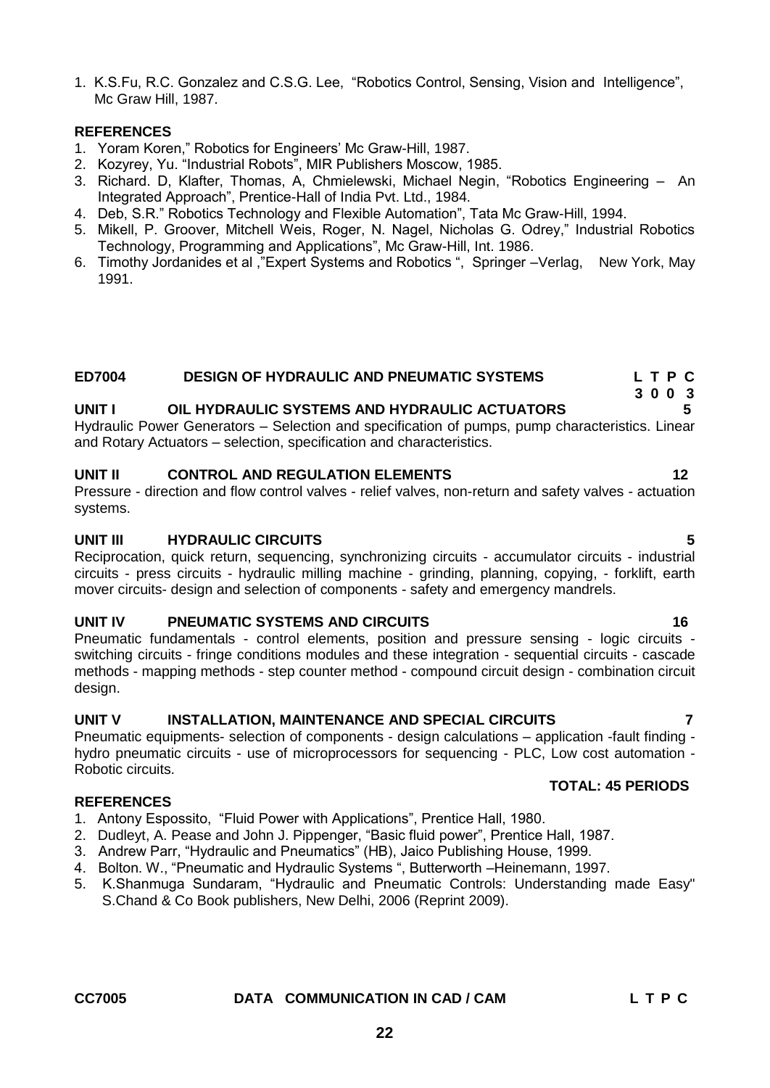1. K.S.Fu, R.C. Gonzalez and C.S.G. Lee, "Robotics Control, Sensing, Vision and Intelligence", Mc Graw Hill, 1987.

### **REFERENCES**

- 1. Yoram Koren," Robotics for Engineers' Mc Graw-Hill, 1987.
- 2. Kozyrey, Yu. "Industrial Robots", MIR Publishers Moscow, 1985.
- 3. Richard. D, Klafter, Thomas, A, Chmielewski, Michael Negin, "Robotics Engineering An Integrated Approach", Prentice-Hall of India Pvt. Ltd., 1984.
- 4. Deb, S.R." Robotics Technology and Flexible Automation", Tata Mc Graw-Hill, 1994.
- 5. Mikell, P. Groover, Mitchell Weis, Roger, N. Nagel, Nicholas G. Odrey," Industrial Robotics Technology, Programming and Applications", Mc Graw-Hill, Int. 1986.
- 6. Timothy Jordanides et al ,"Expert Systems and Robotics ", Springer –Verlag, New York, May 1991.

# **ED7004 DESIGN OF HYDRAULIC AND PNEUMATIC SYSTEMS L T P C**

### **UNIT I OIL HYDRAULIC SYSTEMS AND HYDRAULIC ACTUATORS 5**

Hydraulic Power Generators – Selection and specification of pumps, pump characteristics. Linear and Rotary Actuators – selection, specification and characteristics.

### **UNIT II CONTROL AND REGULATION ELEMENTS 12**

Pressure - direction and flow control valves - relief valves, non-return and safety valves - actuation systems.

### **UNIT III HYDRAULIC CIRCUITS 5**

Reciprocation, quick return, sequencing, synchronizing circuits - accumulator circuits - industrial circuits - press circuits - hydraulic milling machine - grinding, planning, copying, - forklift, earth mover circuits- design and selection of components - safety and emergency mandrels.

### **UNIT IV PNEUMATIC SYSTEMS AND CIRCUITS 46 CONSUMING AND CONSUMING ASSESSMENT ROOM OF A CONSUMING A LOCAL CONSUMING A LOCAL CONSUMING A LOCAL CONSUMING A LOCAL CONSUMING A LOCAL CONSUMING A LOCAL CONSUMING A LOCAL CONSUMIN**

Pneumatic fundamentals - control elements, position and pressure sensing - logic circuits switching circuits - fringe conditions modules and these integration - sequential circuits - cascade methods - mapping methods - step counter method - compound circuit design - combination circuit design.

### **UNIT V INSTALLATION, MAINTENANCE AND SPECIAL CIRCUITS 7**

Pneumatic equipments- selection of components - design calculations – application -fault finding hydro pneumatic circuits - use of microprocessors for sequencing - PLC, Low cost automation - Robotic circuits.  **TOTAL: 45 PERIODS** 

### **REFERENCES**

- 1. Antony Espossito, "Fluid Power with Applications", Prentice Hall, 1980.
- 2. Dudleyt, A. Pease and John J. Pippenger, "Basic fluid power", Prentice Hall, 1987.
- 3. Andrew Parr, "Hydraulic and Pneumatics" (HB), Jaico Publishing House, 1999.
- 4. Bolton. W., "Pneumatic and Hydraulic Systems ", Butterworth –Heinemann, 1997.
- 5. K.Shanmuga Sundaram, "Hydraulic and Pneumatic Controls: Understanding made Easy" S.Chand & Co Book publishers, New Delhi, 2006 (Reprint 2009).

### <span id="page-21-0"></span>**CC7005 DATA COMMUNICATION IN CAD / CAM L T P C**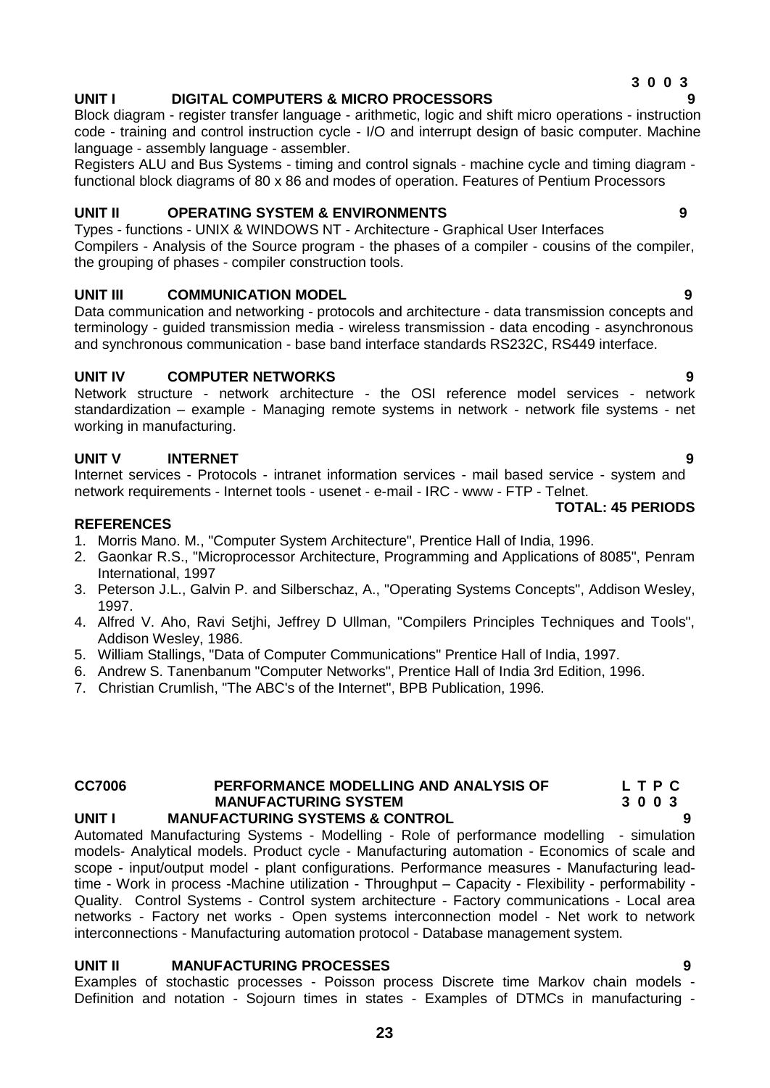### **3 0 0 3 UNIT I DIGITAL COMPUTERS & MICRO PROCESSORS 9**

Block diagram - register transfer language - arithmetic, logic and shift micro operations - instruction code - training and control instruction cycle - I/O and interrupt design of basic computer. Machine language - assembly language - assembler.

Registers ALU and Bus Systems - timing and control signals - machine cycle and timing diagram functional block diagrams of 80 x 86 and modes of operation. Features of Pentium Processors

### **UNIT II OPERATING SYSTEM & ENVIRONMENTS 9**

Types - functions - UNIX & WINDOWS NT - Architecture - Graphical User Interfaces Compilers - Analysis of the Source program - the phases of a compiler - cousins of the compiler, the grouping of phases - compiler construction tools.

### **UNIT III COMMUNICATION MODEL 9**

Data communication and networking - protocols and architecture - data transmission concepts and terminology - guided transmission media - wireless transmission - data encoding - asynchronous and synchronous communication - base band interface standards RS232C, RS449 interface.

### **UNIT IV COMPUTER NETWORKS 9**

Network structure - network architecture - the OSI reference model services - network standardization – example - Managing remote systems in network - network file systems - net working in manufacturing.

# **UNIT V INTERNET 9**

Internet services - Protocols - intranet information services - mail based service - system and network requirements - Internet tools - usenet - e-mail - IRC - www - FTP - Telnet.

### **REFERENCES**

- 1. Morris Mano. M., "Computer System Architecture", Prentice Hall of India, 1996.
- 2. Gaonkar R.S., "Microprocessor Architecture, Programming and Applications of 8085", Penram International, 1997
- 3. Peterson J.L., Galvin P. and Silberschaz, A., "Operating Systems Concepts", Addison Wesley, 1997.
- 4. Alfred V. Aho, Ravi Setjhi, Jeffrey D Ullman, "Compilers Principles Techniques and Tools", Addison Wesley, 1986.
- 5. William Stallings, "Data of Computer Communications" Prentice Hall of India, 1997.
- 6. Andrew S. Tanenbanum "Computer Networks", Prentice Hall of India 3rd Edition, 1996.
- 7. Christian Crumlish, "The ABC's of the Internet", BPB Publication, 1996.

### **CC7006 PERFORMANCE MODELLING AND ANALYSIS OF L T P C MANUFACTURING SYSTEM 3 0 0 3** UNIT I MANUFACTURING SYSTEMS & CONTROL

Automated Manufacturing Systems - Modelling - Role of performance modelling - simulation models- Analytical models. Product cycle - Manufacturing automation - Economics of scale and scope - input/output model - plant configurations. Performance measures - Manufacturing leadtime - Work in process -Machine utilization - Throughput – Capacity - Flexibility - performability - Quality. Control Systems - Control system architecture - Factory communications - Local area networks - Factory net works - Open systems interconnection model - Net work to network interconnections - Manufacturing automation protocol - Database management system.

### **UNIT II MANUFACTURING PROCESSES 9**

Examples of stochastic processes - Poisson process Discrete time Markov chain models - Definition and notation - Sojourn times in states - Examples of DTMCs in manufacturing -

**TOTAL: 45 PERIODS**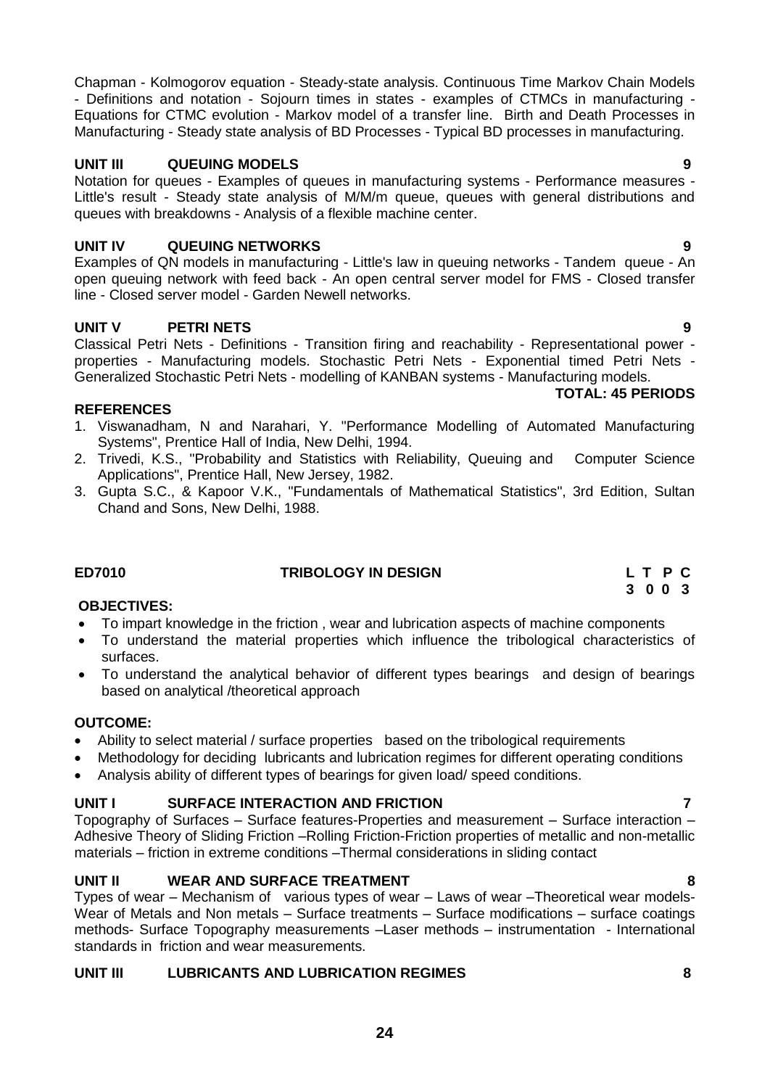Chapman - Kolmogorov equation - Steady-state analysis. Continuous Time Markov Chain Models - Definitions and notation - Sojourn times in states - examples of CTMCs in manufacturing - Equations for CTMC evolution - Markov model of a transfer line. Birth and Death Processes in Manufacturing - Steady state analysis of BD Processes - Typical BD processes in manufacturing.

# **UNIT III QUEUING MODELS 9**

Notation for queues - Examples of queues in manufacturing systems - Performance measures - Little's result - Steady state analysis of M/M/m queue, queues with general distributions and queues with breakdowns - Analysis of a flexible machine center.

# **UNIT IV QUEUING NETWORKS 9**

Examples of QN models in manufacturing - Little's law in queuing networks - Tandem queue - An open queuing network with feed back - An open central server model for FMS - Closed transfer line - Closed server model - Garden Newell networks.

# **UNIT V PETRI NETS 9**

Classical Petri Nets - Definitions - Transition firing and reachability - Representational power properties - Manufacturing models. Stochastic Petri Nets - Exponential timed Petri Nets - Generalized Stochastic Petri Nets - modelling of KANBAN systems - Manufacturing models.

### **REFERENCES**

- 1. Viswanadham, N and Narahari, Y. "Performance Modelling of Automated Manufacturing Systems", Prentice Hall of India, New Delhi, 1994.
- 2. Trivedi, K.S., "Probability and Statistics with Reliability, Queuing and Computer Science Applications", Prentice Hall, New Jersey, 1982.
- 3. Gupta S.C., & Kapoor V.K., "Fundamentals of Mathematical Statistics", 3rd Edition, Sultan Chand and Sons, New Delhi, 1988.

### **ED7010 TRIBOLOGY IN DESIGN L T P C**

### **OBJECTIVES:**

- To impart knowledge in the friction , wear and lubrication aspects of machine components
- To understand the material properties which influence the tribological characteristics of surfaces.
- To understand the analytical behavior of different types bearings and design of bearings based on analytical /theoretical approach

### **OUTCOME:**

- Ability to select material / surface properties based on the tribological requirements
- Methodology for deciding lubricants and lubrication regimes for different operating conditions
- Analysis ability of different types of bearings for given load/ speed conditions.

### **UNIT I SURFACE INTERACTION AND FRICTION 7**

Topography of Surfaces – Surface features-Properties and measurement – Surface interaction – Adhesive Theory of Sliding Friction –Rolling Friction-Friction properties of metallic and non-metallic materials – friction in extreme conditions –Thermal considerations in sliding contact

# **UNIT II WEAR AND SURFACE TREATMENT 8**

Types of wear – Mechanism of various types of wear – Laws of wear –Theoretical wear models-Wear of Metals and Non metals – Surface treatments – Surface modifications – surface coatings methods- Surface Topography measurements –Laser methods – instrumentation - International standards in friction and wear measurements.

### **UNIT III LUBRICANTS AND LUBRICATION REGIMES 8**

**3 0 0 3**

**TOTAL: 45 PERIODS**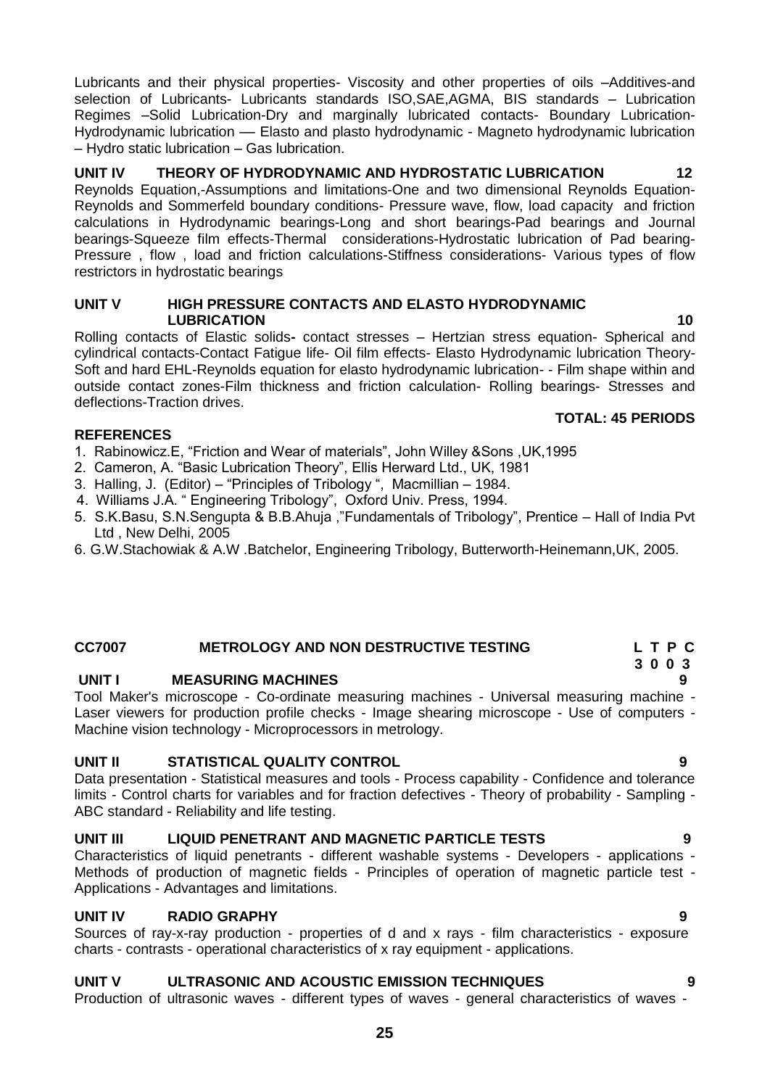Lubricants and their physical properties- Viscosity and other properties of oils –Additives-and selection of Lubricants- Lubricants standards ISO,SAE,AGMA, BIS standards – Lubrication Regimes –Solid Lubrication-Dry and marginally lubricated contacts- Boundary Lubrication-Hydrodynamic lubrication — Elasto and plasto hydrodynamic - Magneto hydrodynamic lubrication – Hydro static lubrication – Gas lubrication.

# **UNIT IV THEORY OF HYDRODYNAMIC AND HYDROSTATIC LUBRICATION 12**

Reynolds Equation,-Assumptions and limitations-One and two dimensional Reynolds Equation-Reynolds and Sommerfeld boundary conditions- Pressure wave, flow, load capacity and friction calculations in Hydrodynamic bearings-Long and short bearings-Pad bearings and Journal bearings-Squeeze film effects-Thermal considerations-Hydrostatic lubrication of Pad bearing-Pressure , flow , load and friction calculations-Stiffness considerations- Various types of flow restrictors in hydrostatic bearings

### **UNIT V HIGH PRESSURE CONTACTS AND ELASTO HYDRODYNAMIC LUBRICATION** 10

Rolling contacts of Elastic solids**-** contact stresses – Hertzian stress equation- Spherical and cylindrical contacts-Contact Fatigue life- Oil film effects- Elasto Hydrodynamic lubrication Theory-Soft and hard EHL-Reynolds equation for elasto hydrodynamic lubrication- - Film shape within and outside contact zones-Film thickness and friction calculation- Rolling bearings- Stresses and deflections-Traction drives.

### **TOTAL: 45 PERIODS**

### **REFERENCES**

- 1. Rabinowicz.E, "Friction and Wear of materials", John Willey &Sons ,UK,1995
- 2. Cameron, A. "Basic Lubrication Theory", Ellis Herward Ltd., UK, 1981
- 3. Halling, J. (Editor) "Principles of Tribology ", Macmillian 1984.
- 4. Williams J.A. " Engineering Tribology", Oxford Univ. Press, 1994.
- 5. S.K.Basu, S.N.Sengupta & B.B.Ahuja ,"Fundamentals of Tribology", Prentice Hall of India Pvt Ltd , New Delhi, 2005
- 6. G.W.Stachowiak & A.W .Batchelor, Engineering Tribology, Butterworth-Heinemann,UK, 2005.

### **CC7007 METROLOGY AND NON DESTRUCTIVE TESTING L T P C**

### **UNIT I MEASURING MACHINES 9**

Tool Maker's microscope - Co-ordinate measuring machines - Universal measuring machine - Laser viewers for production profile checks - Image shearing microscope - Use of computers - Machine vision technology - Microprocessors in metrology.

### **UNIT II STATISTICAL QUALITY CONTROL 9**

Data presentation - Statistical measures and tools - Process capability - Confidence and tolerance limits - Control charts for variables and for fraction defectives - Theory of probability - Sampling - ABC standard - Reliability and life testing.

# **UNIT III LIQUID PENETRANT AND MAGNETIC PARTICLE TESTS 9**

Characteristics of liquid penetrants - different washable systems - Developers - applications - Methods of production of magnetic fields - Principles of operation of magnetic particle test - Applications - Advantages and limitations.

### **UNIT IV RADIO GRAPHY 9**

Sources of ray-x-ray production - properties of d and x rays - film characteristics - exposure charts - contrasts - operational characteristics of x ray equipment - applications.

### **UNIT V ULTRASONIC AND ACOUSTIC EMISSION TECHNIQUES 9**

Production of ultrasonic waves - different types of waves - general characteristics of waves -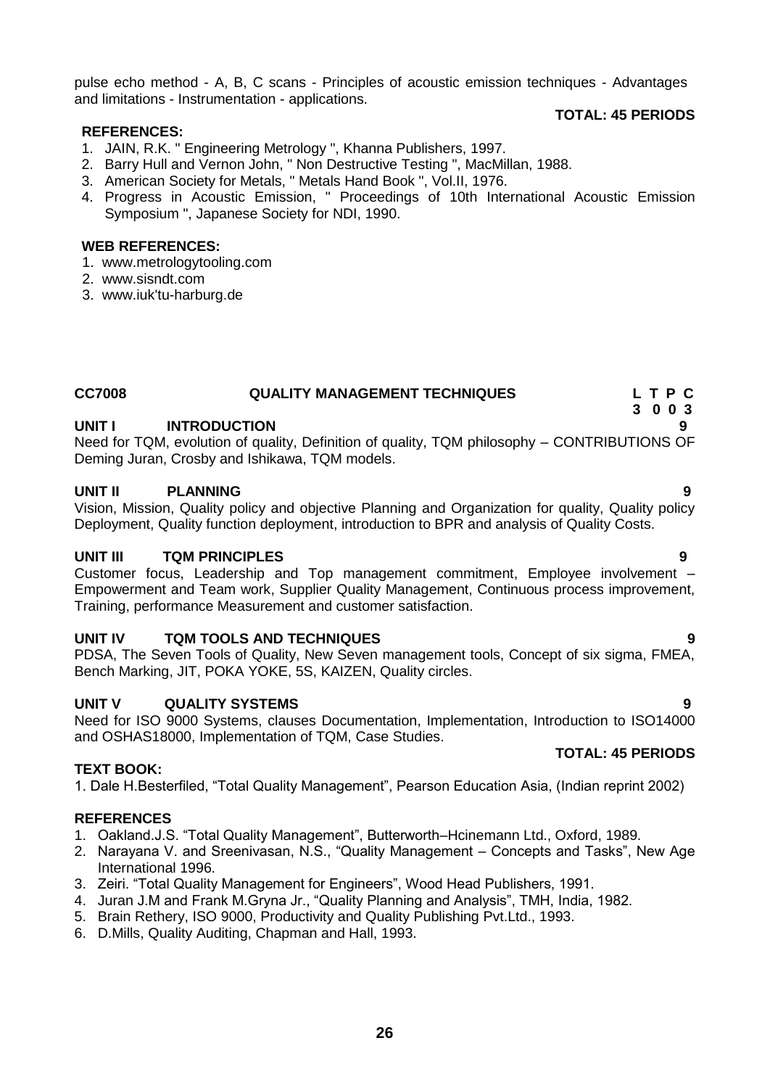pulse echo method - A, B, C scans - Principles of acoustic emission techniques - Advantages and limitations - Instrumentation - applications.

### **REFERENCES:**

- 1. JAIN, R.K. " Engineering Metrology ", Khanna Publishers, 1997.
- 2. Barry Hull and Vernon John, " Non Destructive Testing ", MacMillan, 1988.
- 3. American Society for Metals, " Metals Hand Book ", Vol.II, 1976.
- 4. Progress in Acoustic Emission, " Proceedings of 10th International Acoustic Emission Symposium ", Japanese Society for NDI, 1990.

### **WEB REFERENCES:**

- 1. www.metrologytooling.com
- 2. www.sisndt.com
- <span id="page-25-0"></span>3. [www.iuk'tu-harburg.de](http://www.iuk)

### **CC7008 QUALITY MANAGEMENT TECHNIQUES L T P C**

### **UNIT I INTRODUCTION 9**

Need for TQM, evolution of quality, Definition of quality, TQM philosophy – CONTRIBUTIONS OF Deming Juran, Crosby and Ishikawa, TQM models.

### **UNIT II PLANNING 9**

Vision, Mission, Quality policy and objective Planning and Organization for quality, Quality policy Deployment, Quality function deployment, introduction to BPR and analysis of Quality Costs.

### **UNIT III TQM PRINCIPLES 9**

Customer focus, Leadership and Top management commitment, Employee involvement – Empowerment and Team work, Supplier Quality Management, Continuous process improvement, Training, performance Measurement and customer satisfaction.

### **UNIT IV TQM TOOLS AND TECHNIQUES 9**

PDSA, The Seven Tools of Quality, New Seven management tools, Concept of six sigma, FMEA, Bench Marking, JIT, POKA YOKE, 5S, KAIZEN, Quality circles.

### **UNIT V QUALITY SYSTEMS 9**

Need for ISO 9000 Systems, clauses Documentation, Implementation, Introduction to ISO14000 and OSHAS18000, Implementation of TQM, Case Studies.

### **TEXT BOOK:**

1. Dale H.Besterfiled, "Total Quality Management", Pearson Education Asia, (Indian reprint 2002)

### **REFERENCES**

- 1. Oakland.J.S. "Total Quality Management", Butterworth–Hcinemann Ltd., Oxford, 1989.
- 2. Narayana V. and Sreenivasan, N.S., "Quality Management Concepts and Tasks", New Age International 1996.
- 3. Zeiri. "Total Quality Management for Engineers", Wood Head Publishers, 1991.
- 4. Juran J.M and Frank M.Gryna Jr., "Quality Planning and Analysis", TMH, India, 1982.
- 5. Brain Rethery, ISO 9000, Productivity and Quality Publishing Pvt.Ltd., 1993.
- 6. D.Mills, Quality Auditing, Chapman and Hall, 1993.

### **TOTAL: 45 PERIODS**

**TOTAL: 45 PERIODS**